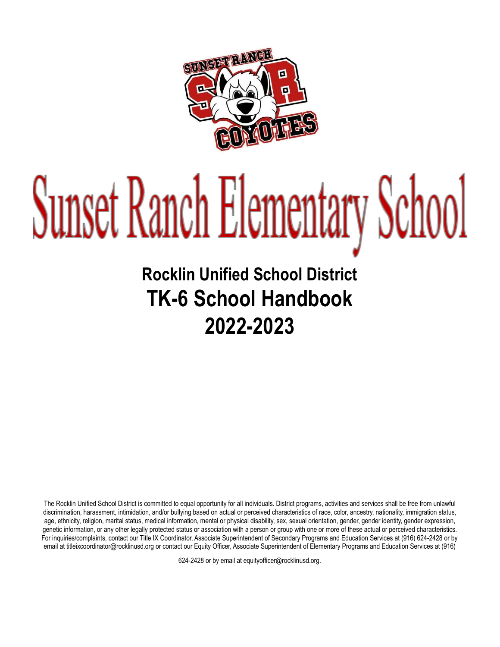

# Sunset Ranch Elementary School

# **Rocklin Unified School District TK-6 School Handbook 2022-2023**

The Rocklin Unified School District is committed to equal opportunity for all individuals. District programs, activities and services shall be free from unlawful discrimination, harassment, intimidation, and/or bullying based on actual or perceived characteristics of race, color, ancestry, nationality, immigration status, age, ethnicity, religion, marital status, medical information, mental or physical disability, sex, sexual orientation, gender, gender identity, gender expression, genetic information, or any other legally protected status or association with a person or group with one or more of these actual or perceived characteristics. For inquiries/complaints, contact our Title IX Coordinator, Associate Superintendent of Secondary Programs and Education Services at (916) 624-2428 or by email at titleixcoordinator@rocklinusd.org or contact our Equity Officer, Associate Superintendent of Elementary Programs and Education Services at (916)

624-2428 or by email at equityofficer@rocklinusd.org.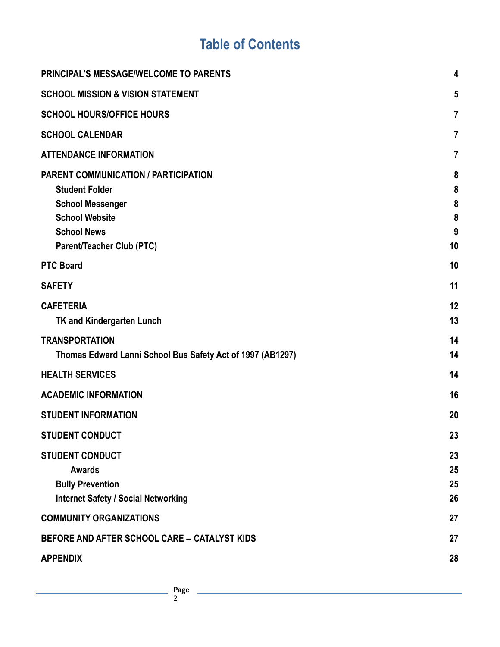# **Table of Contents**

| <b>PRINCIPAL'S MESSAGE/WELCOME TO PARENTS</b>                                                                                                                                      | 4                           |
|------------------------------------------------------------------------------------------------------------------------------------------------------------------------------------|-----------------------------|
| <b>SCHOOL MISSION &amp; VISION STATEMENT</b>                                                                                                                                       | 5                           |
| <b>SCHOOL HOURS/OFFICE HOURS</b>                                                                                                                                                   | $\overline{7}$              |
| <b>SCHOOL CALENDAR</b>                                                                                                                                                             | $\overline{7}$              |
| <b>ATTENDANCE INFORMATION</b>                                                                                                                                                      | $\overline{7}$              |
| <b>PARENT COMMUNICATION / PARTICIPATION</b><br><b>Student Folder</b><br><b>School Messenger</b><br><b>School Website</b><br><b>School News</b><br><b>Parent/Teacher Club (PTC)</b> | 8<br>8<br>8<br>8<br>9<br>10 |
| <b>PTC Board</b>                                                                                                                                                                   | 10                          |
| <b>SAFETY</b>                                                                                                                                                                      | 11                          |
| <b>CAFETERIA</b><br>TK and Kindergarten Lunch                                                                                                                                      | 12<br>13                    |
| <b>TRANSPORTATION</b><br>Thomas Edward Lanni School Bus Safety Act of 1997 (AB1297)                                                                                                | 14<br>14                    |
| <b>HEALTH SERVICES</b>                                                                                                                                                             | 14                          |
| <b>ACADEMIC INFORMATION</b>                                                                                                                                                        | 16                          |
| <b>STUDENT INFORMATION</b>                                                                                                                                                         | 20                          |
| <b>STUDENT CONDUCT</b>                                                                                                                                                             | 23                          |
| <b>STUDENT CONDUCT</b><br><b>Awards</b><br><b>Bully Prevention</b><br><b>Internet Safety / Social Networking</b>                                                                   | 23<br>25<br>25<br>26        |
| <b>COMMUNITY ORGANIZATIONS</b>                                                                                                                                                     | 27                          |
| BEFORE AND AFTER SCHOOL CARE - CATALYST KIDS                                                                                                                                       | 27                          |
| <b>APPENDIX</b>                                                                                                                                                                    | 28                          |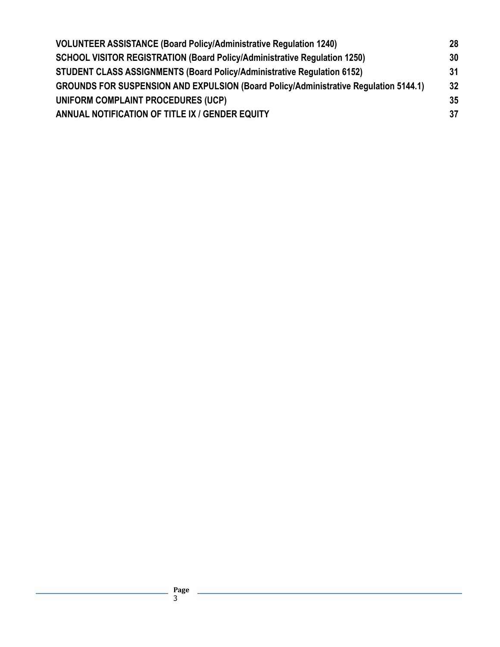| 28 |
|----|
| 30 |
| 31 |
| 32 |
| 35 |
| 37 |
|    |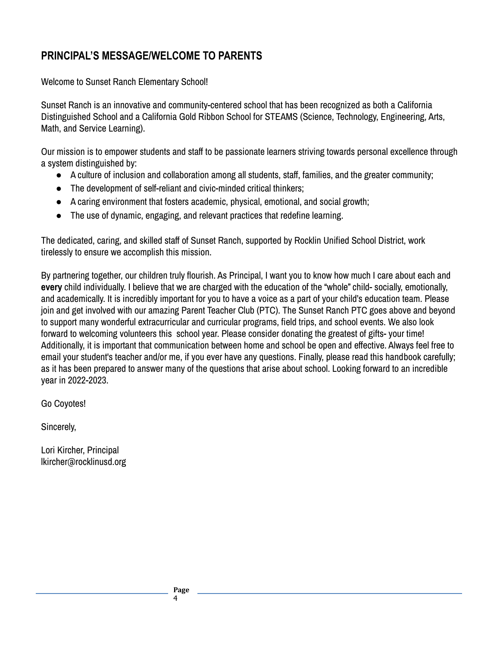# **PRINCIPAL'S MESSAGE/WELCOME TO PARENTS**

Welcome to Sunset Ranch Elementary School!

Sunset Ranch is an innovative and community-centered school that has been recognized as both a California Distinguished School and a California Gold Ribbon School for STEAMS (Science, Technology, Engineering, Arts, Math, and Service Learning).

Our mission is to empower students and staff to be passionate learners striving towards personal excellence through a system distinguished by:

- A culture of inclusion and collaboration among all students, staff, families, and the greater community;
- The development of self-reliant and civic-minded critical thinkers;
- A caring environment that fosters academic, physical, emotional, and social growth;
- The use of dynamic, engaging, and relevant practices that redefine learning.

The dedicated, caring, and skilled staff of Sunset Ranch, supported by Rocklin Unified School District, work tirelessly to ensure we accomplish this mission.

By partnering together, our children truly flourish. As Principal, I want you to know how much I care about each and **every** child individually. I believe that we are charged with the education of the "whole" child- socially, emotionally, and academically. It is incredibly important for you to have a voice as a part of your child's education team. Please join and get involved with our amazing Parent Teacher Club (PTC). The Sunset Ranch PTC goes above and beyond to support many wonderful extracurricular and curricular programs, field trips, and school events. We also look forward to welcoming volunteers this school year. Please consider donating the greatest of gifts- your time! Additionally, it is important that communication between home and school be open and effective. Always feel free to email your student's teacher and/or me, if you ever have any questions. Finally, please read this handbook carefully; as it has been prepared to answer many of the questions that arise about school. Looking forward to an incredible year in 2022-2023.

Go Coyotes!

Sincerely,

Lori Kircher, Principal lkircher@rocklinusd.org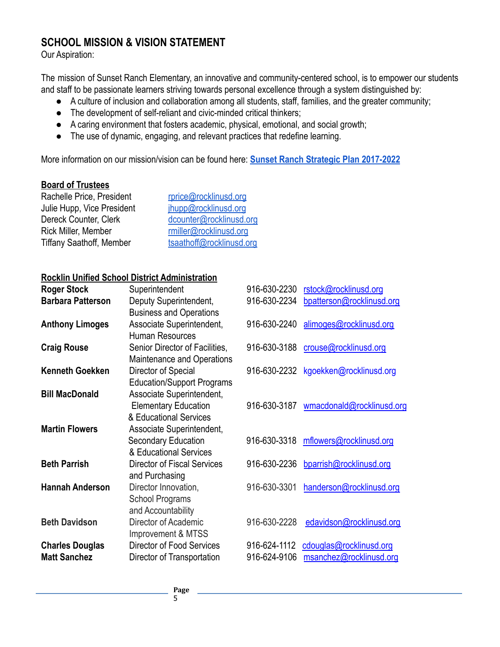#### **SCHOOL MISSION & VISION STATEMENT**

Our Aspiration:

The mission of Sunset Ranch Elementary, an innovative and community-centered school, is to empower our students and staff to be passionate learners striving towards personal excellence through a system distinguished by:

- A culture of inclusion and collaboration among all students, staff, families, and the greater community;
- The development of self-reliant and civic-minded critical thinkers;
- A caring environment that fosters academic, physical, emotional, and social growth;
- The use of dynamic, engaging, and relevant practices that redefine learning.

More information on our mission/vision can be found here: **[Sunset Ranch Strategic Plan 2017-2022](https://docs.google.com/document/d/10n81TQIuw0if33UG1tWe35MPmqJE5CuipqbL6W0IaCE/edit?usp=sharing)**

#### **Board of Trustees**

| Rachelle Price, President       | rprice@rocklinusd.org    |
|---------------------------------|--------------------------|
| Julie Hupp, Vice President      | jhupp@rocklinusd.org     |
| Dereck Counter, Clerk           | dcounter@rocklinusd.org  |
| Rick Miller, Member             | rmiller@rocklinusd.org   |
| <b>Tiffany Saathoff, Member</b> | tsaathoff@rocklinusd.org |

#### **Rocklin Unified School District Administration**

| <b>Roger Stock</b>       | Superintendent                                                                                | 916-630-2230 | rstock@rocklinusd.org                |
|--------------------------|-----------------------------------------------------------------------------------------------|--------------|--------------------------------------|
| <b>Barbara Patterson</b> | Deputy Superintendent,<br><b>Business and Operations</b>                                      | 916-630-2234 | bpatterson@rocklinusd.org            |
| <b>Anthony Limoges</b>   | Associate Superintendent,<br><b>Human Resources</b>                                           | 916-630-2240 | alimoges@rocklinusd.org              |
| <b>Craig Rouse</b>       | Senior Director of Facilities,<br>Maintenance and Operations                                  | 916-630-3188 | crouse@rocklinusd.org                |
| <b>Kenneth Goekken</b>   | Director of Special                                                                           |              | 916-630-2232 kgoekken@rocklinusd.org |
| <b>Bill MacDonald</b>    | <b>Education/Support Programs</b><br>Associate Superintendent,<br><b>Elementary Education</b> | 916-630-3187 | wmacdonald@rocklinusd.org            |
| <b>Martin Flowers</b>    | & Educational Services<br>Associate Superintendent,<br>Secondary Education                    | 916-630-3318 | mflowers@rocklinusd.org              |
| <b>Beth Parrish</b>      | & Educational Services<br><b>Director of Fiscal Services</b>                                  | 916-630-2236 | bparrish@rocklinusd.org              |
|                          | and Purchasing                                                                                |              |                                      |
| <b>Hannah Anderson</b>   | Director Innovation,<br><b>School Programs</b><br>and Accountability                          | 916-630-3301 | handerson@rocklinusd.org             |
| <b>Beth Davidson</b>     | Director of Academic<br>Improvement & MTSS                                                    | 916-630-2228 | edavidson@rocklinusd.org             |
| <b>Charles Douglas</b>   | <b>Director of Food Services</b>                                                              | 916-624-1112 | cdouglas@rocklinusd.org              |
| <b>Matt Sanchez</b>      | Director of Transportation                                                                    | 916-624-9106 | msanchez@rocklinusd.org              |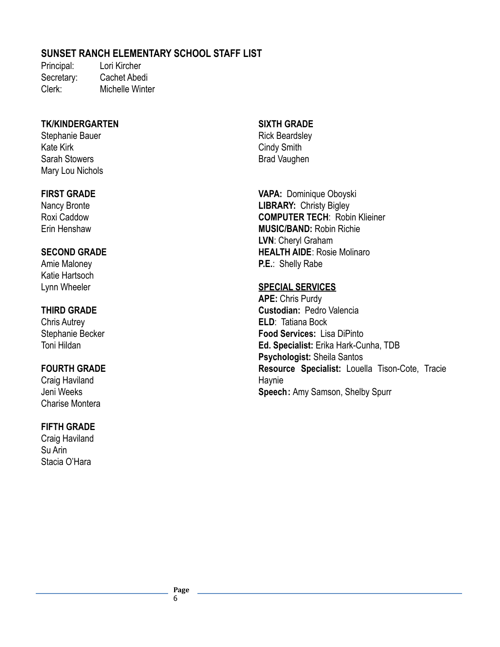#### **SUNSET RANCH ELEMENTARY SCHOOL STAFF LIST**

Principal: Lori Kircher Secretary: Cachet Abedi Clerk: Michelle Winter

#### **TK/KINDERGARTEN**

Stephanie Bauer Kate Kirk Sarah Stowers Mary Lou Nichols

#### **FIRST GRADE**

Nancy Bronte Roxi Caddow Erin Henshaw

#### **SECOND GRADE**

Amie Maloney Katie Hartsoch Lynn Wheeler

#### **THIRD GRADE**

Chris Autrey Stephanie Becker Toni Hildan

#### **FOURTH GRADE**

Craig Haviland Jeni Weeks Charise Montera

#### **FIFTH GRADE**

Craig Haviland Su Arin Stacia O'Hara

#### **SIXTH GRADE**

Rick Beardsley Cindy Smith Brad Vaughen

**VAPA:** Dominique Oboyski **LIBRARY:** Christy Bigley **COMPUTER TECH**: Robin Klieiner **MUSIC/BAND:** Robin Richie **LVN**: Cheryl Graham **HEALTH AIDE**: Rosie Molinaro **P.E.**: Shelly Rabe

#### **SPECIAL SERVICES**

**APE:** Chris Purdy **Custodian:** Pedro Valencia **ELD**: Tatiana Bock **Food Services:** Lisa DiPinto **Ed. Specialist:** Erika Hark-Cunha, TDB **Psychologist:** Sheila Santos **Resource Specialist:** Louella Tison-Cote, Tracie Haynie **Speech:** Amy Samson, Shelby Spurr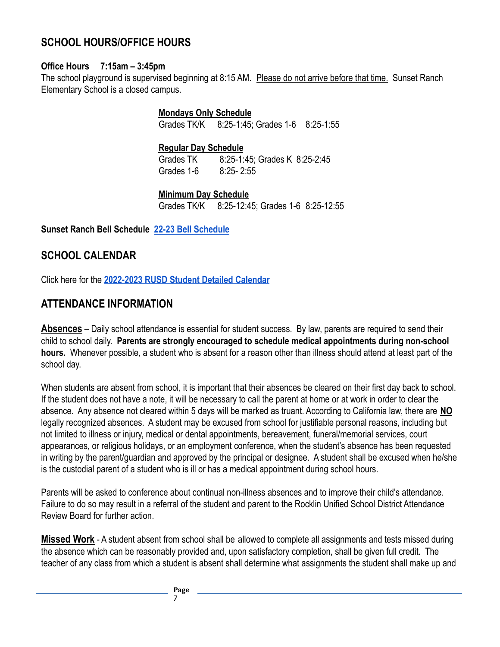# <span id="page-6-0"></span>**SCHOOL HOURS/OFFICE HOURS**

#### **Office Hours 7:15am – 3:45pm**

The school playground is supervised beginning at 8:15 AM. Please do not arrive before that time. Sunset Ranch Elementary School is a closed campus.

> **Mondays Only Schedule** Grades TK/K 8:25-1:45; Grades 1-6 8:25-1:55

**Regular Day Schedule**

Grades TK 8:25-1:45; Grades K 8:25-2:45 Grades 1-6 8:25- 2:55

**Minimum Day Schedule**

Grades TK/K 8:25-12:45; Grades 1-6 8:25-12:55

**Sunset Ranch Bell Schedule [22-23 Bell Schedule](https://sres.rocklinusd.org)**

# **SCHOOL CALENDAR**

Click here for the **[2022-2023 RUSD Student Detailed](https://www.rocklinusd.org/documents/Departments/Human%20Resources/Calendars/2022-23_District-Student%20detail%20calendars/2022-2023-Student-Detail-Calendar_10-20-21.pdf) Calendar**

# **ATTENDANCE INFORMATION**

**Absences** – Daily school attendance is essential for student success. By law, parents are required to send their child to school daily. **Parents are strongly encouraged to schedule medical appointments during non-school hours.** Whenever possible, a student who is absent for a reason other than illness should attend at least part of the school day.

When students are absent from school, it is important that their absences be cleared on their first day back to school. If the student does not have a note, it will be necessary to call the parent at home or at work in order to clear the absence. Any absence not cleared within 5 days will be marked as truant. According to California law, there are **NO** legally recognized absences. A student may be excused from school for justifiable personal reasons, including but not limited to illness or injury, medical or dental appointments, bereavement, funeral/memorial services, court appearances, or religious holidays, or an employment conference, when the student's absence has been requested in writing by the parent/guardian and approved by the principal or designee. A student shall be excused when he/she is the custodial parent of a student who is ill or has a medical appointment during school hours.

Parents will be asked to conference about continual non-illness absences and to improve their child's attendance. Failure to do so may result in a referral of the student and parent to the Rocklin Unified School District Attendance Review Board for further action.

**Missed Work** - A student absent from school shall be allowed to complete all assignments and tests missed during the absence which can be reasonably provided and, upon satisfactory completion, shall be given full credit. The teacher of any class from which a student is absent shall determine what assignments the student shall make up and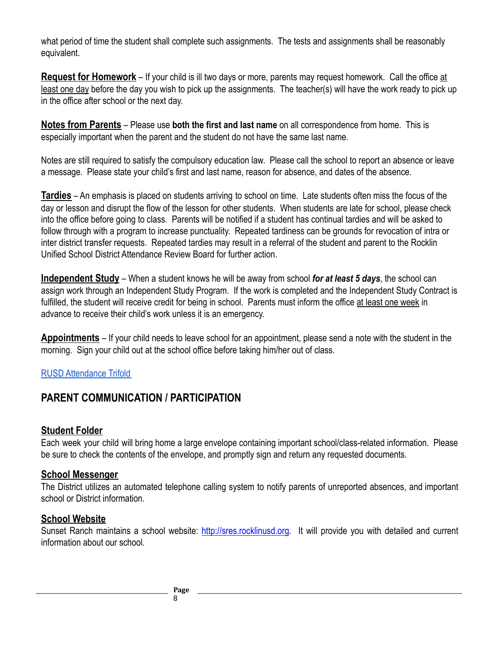what period of time the student shall complete such assignments. The tests and assignments shall be reasonably equivalent.

**Request for Homework** – If your child is ill two days or more, parents may request homework. Call the office at least one day before the day you wish to pick up the assignments. The teacher(s) will have the work ready to pick up in the office after school or the next day.

**Notes from Parents** – Please use **both the first and last name** on all correspondence from home. This is especially important when the parent and the student do not have the same last name.

Notes are still required to satisfy the compulsory education law. Please call the school to report an absence or leave a message. Please state your child's first and last name, reason for absence, and dates of the absence.

**Tardies** – An emphasis is placed on students arriving to school on time. Late students often miss the focus of the day or lesson and disrupt the flow of the lesson for other students. When students are late for school, please check into the office before going to class. Parents will be notified if a student has continual tardies and will be asked to follow through with a program to increase punctuality. Repeated tardiness can be grounds for revocation of intra or inter district transfer requests. Repeated tardies may result in a referral of the student and parent to the Rocklin Unified School District Attendance Review Board for further action.

**Independent Study** – When a student knows he will be away from school *for at least 5 days*, the school can assign work through an Independent Study Program. If the work is completed and the Independent Study Contract is fulfilled, the student will receive credit for being in school. Parents must inform the office at least one week in advance to receive their child's work unless it is an emergency.

**Appointments** – If your child needs to leave school for an appointment, please send a note with the student in the morning. Sign your child out at the school office before taking him/her out of class.

#### [RUSD Attendance Trifold](https://drive.google.com/file/d/1QEFui6Dwz2VR-UUSk7W2xYhXEkPHUKm_/view?usp=sharing)

# <span id="page-7-0"></span>**PARENT COMMUNICATION / PARTICIPATION**

#### <span id="page-7-1"></span>**Student Folder**

Each week your child will bring home a large envelope containing important school/class-related information. Please be sure to check the contents of the envelope, and promptly sign and return any requested documents.

#### <span id="page-7-2"></span>**School Messenger**

The District utilizes an automated telephone calling system to notify parents of unreported absences, and important school or District information.

#### <span id="page-7-3"></span>**School Website**

Sunset Ranch maintains a school website: <http://sres.rocklinusd.org>. It will provide you with detailed and current information about our school.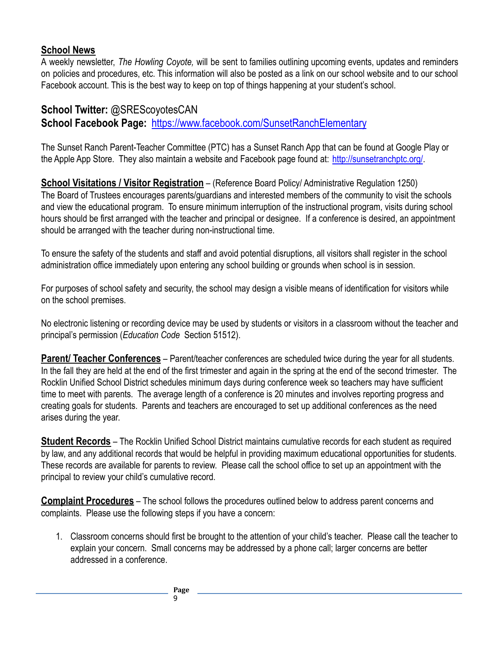#### <span id="page-8-0"></span>**School News**

A weekly newsletter, *The Howling Coyote,* will be sent to families outlining upcoming events, updates and reminders on policies and procedures, etc. This information will also be posted as a link on our school website and to our school Facebook account. This is the best way to keep on top of things happening at your student's school.

# **School Twitter:** @SREScoyotesCAN **School Facebook Page:** <https://www.facebook.com/SunsetRanchElementary>

The Sunset Ranch Parent-Teacher Committee (PTC) has a Sunset Ranch App that can be found at Google Play or the Apple App Store. They also maintain a website and Facebook page found at: <http://sunsetranchptc.org/>.

**School Visitations / Visitor Registration** – (Reference Board Policy/ Administrative Regulation 1250) The Board of Trustees encourages parents/guardians and interested members of the community to visit the schools and view the educational program. To ensure minimum interruption of the instructional program, visits during school hours should be first arranged with the teacher and principal or designee. If a conference is desired, an appointment should be arranged with the teacher during non-instructional time.

To ensure the safety of the students and staff and avoid potential disruptions, all visitors shall register in the school administration office immediately upon entering any school building or grounds when school is in session.

For purposes of school safety and security, the school may design a visible means of identification for visitors while on the school premises.

No electronic listening or recording device may be used by students or visitors in a classroom without the teacher and principal's permission (*Education Code* Section 51512).

**Parent/ Teacher Conferences** – Parent/teacher conferences are scheduled twice during the year for all students. In the fall they are held at the end of the first trimester and again in the spring at the end of the second trimester. The Rocklin Unified School District schedules minimum days during conference week so teachers may have sufficient time to meet with parents. The average length of a conference is 20 minutes and involves reporting progress and creating goals for students. Parents and teachers are encouraged to set up additional conferences as the need arises during the year.

**Student Records** – The Rocklin Unified School District maintains cumulative records for each student as required by law, and any additional records that would be helpful in providing maximum educational opportunities for students. These records are available for parents to review. Please call the school office to set up an appointment with the principal to review your child's cumulative record.

**Complaint Procedures** – The school follows the procedures outlined below to address parent concerns and complaints. Please use the following steps if you have a concern:

1. Classroom concerns should first be brought to the attention of your child's teacher. Please call the teacher to explain your concern. Small concerns may be addressed by a phone call; larger concerns are better addressed in a conference.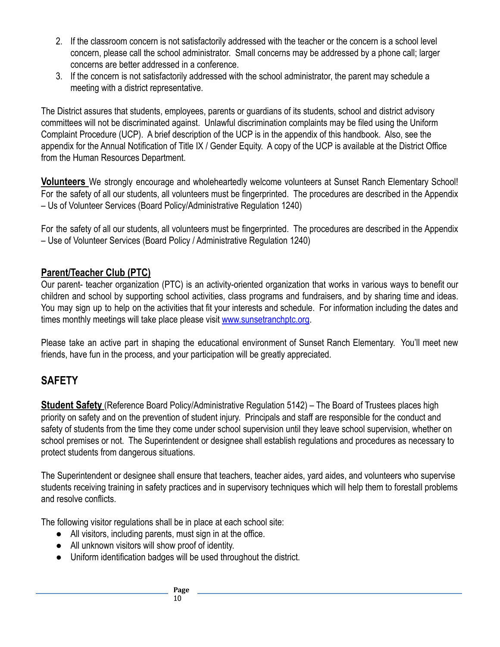- 2. If the classroom concern is not satisfactorily addressed with the teacher or the concern is a school level concern, please call the school administrator. Small concerns may be addressed by a phone call; larger concerns are better addressed in a conference.
- 3. If the concern is not satisfactorily addressed with the school administrator, the parent may schedule a meeting with a district representative.

The District assures that students, employees, parents or guardians of its students, school and district advisory committees will not be discriminated against. Unlawful discrimination complaints may be filed using the Uniform Complaint Procedure (UCP). A brief description of the UCP is in the appendix of this handbook. Also, see the appendix for the Annual Notification of Title IX / Gender Equity. A copy of the UCP is available at the District Office from the Human Resources Department.

**Volunteers** We strongly encourage and wholeheartedly welcome volunteers at Sunset Ranch Elementary School! For the safety of all our students, all volunteers must be fingerprinted. The procedures are described in the Appendix – Us of Volunteer Services (Board Policy/Administrative Regulation 1240)

For the safety of all our students, all volunteers must be fingerprinted. The procedures are described in the Appendix – Use of Volunteer Services (Board Policy / Administrative Regulation 1240)

# <span id="page-9-0"></span>**Parent/Teacher Club (PTC)**

Our parent- teacher organization (PTC) is an activity-oriented organization that works in various ways to benefit our children and school by supporting school activities, class programs and fundraisers, and by sharing time and ideas. You may sign up to help on the activities that fit your interests and schedule. For information including the dates and times monthly meetings will take place please visit [www.sunsetranchptc.org](http://www.sunsetranchptc.org).

Please take an active part in shaping the educational environment of Sunset Ranch Elementary. You'll meet new friends, have fun in the process, and your participation will be greatly appreciated.

# <span id="page-9-1"></span>**SAFETY**

**Student Safety** (Reference Board Policy/Administrative Regulation 5142) – The Board of Trustees places high priority on safety and on the prevention of student injury. Principals and staff are responsible for the conduct and safety of students from the time they come under school supervision until they leave school supervision, whether on school premises or not. The Superintendent or designee shall establish regulations and procedures as necessary to protect students from dangerous situations.

The Superintendent or designee shall ensure that teachers, teacher aides, yard aides, and volunteers who supervise students receiving training in safety practices and in supervisory techniques which will help them to forestall problems and resolve conflicts.

The following visitor regulations shall be in place at each school site:

- All visitors, including parents, must sign in at the office.
- All unknown visitors will show proof of identity.
- Uniform identification badges will be used throughout the district.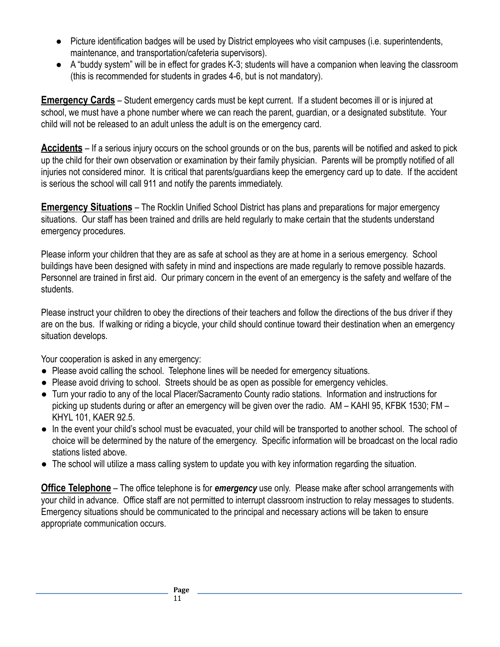- Picture identification badges will be used by District employees who visit campuses (i.e. superintendents, maintenance, and transportation/cafeteria supervisors).
- A "buddy system" will be in effect for grades K-3; students will have a companion when leaving the classroom (this is recommended for students in grades 4-6, but is not mandatory).

**Emergency Cards** – Student emergency cards must be kept current. If a student becomes ill or is injured at school, we must have a phone number where we can reach the parent, guardian, or a designated substitute. Your child will not be released to an adult unless the adult is on the emergency card.

**Accidents** – If a serious injury occurs on the school grounds or on the bus, parents will be notified and asked to pick up the child for their own observation or examination by their family physician. Parents will be promptly notified of all injuries not considered minor. It is critical that parents/guardians keep the emergency card up to date. If the accident is serious the school will call 911 and notify the parents immediately.

**Emergency Situations** – The Rocklin Unified School District has plans and preparations for major emergency situations. Our staff has been trained and drills are held regularly to make certain that the students understand emergency procedures.

Please inform your children that they are as safe at school as they are at home in a serious emergency. School buildings have been designed with safety in mind and inspections are made regularly to remove possible hazards. Personnel are trained in first aid. Our primary concern in the event of an emergency is the safety and welfare of the students.

Please instruct your children to obey the directions of their teachers and follow the directions of the bus driver if they are on the bus. If walking or riding a bicycle, your child should continue toward their destination when an emergency situation develops.

Your cooperation is asked in any emergency:

- Please avoid calling the school. Telephone lines will be needed for emergency situations.
- Please avoid driving to school. Streets should be as open as possible for emergency vehicles.
- Turn your radio to any of the local Placer/Sacramento County radio stations. Information and instructions for picking up students during or after an emergency will be given over the radio. AM – KAHI 95, KFBK 1530; FM – KHYL 101, KAER 92.5.
- In the event your child's school must be evacuated, your child will be transported to another school. The school of choice will be determined by the nature of the emergency. Specific information will be broadcast on the local radio stations listed above.
- The school will utilize a mass calling system to update you with key information regarding the situation.

**Office Telephone** – The office telephone is for *emergency* use only. Please make after school arrangements with your child in advance. Office staff are not permitted to interrupt classroom instruction to relay messages to students. Emergency situations should be communicated to the principal and necessary actions will be taken to ensure appropriate communication occurs.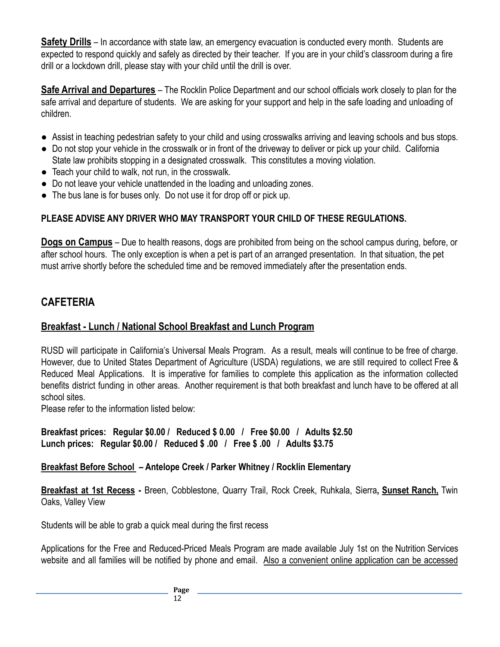**Safety Drills** – In accordance with state law, an emergency evacuation is conducted every month. Students are expected to respond quickly and safely as directed by their teacher. If you are in your child's classroom during a fire drill or a lockdown drill, please stay with your child until the drill is over.

**Safe Arrival and Departures** – The Rocklin Police Department and our school officials work closely to plan for the safe arrival and departure of students. We are asking for your support and help in the safe loading and unloading of children.

- Assist in teaching pedestrian safety to your child and using crosswalks arriving and leaving schools and bus stops.
- Do not stop your vehicle in the crosswalk or in front of the driveway to deliver or pick up your child. California State law prohibits stopping in a designated crosswalk. This constitutes a moving violation.
- Teach your child to walk, not run, in the crosswalk.
- Do not leave your vehicle unattended in the loading and unloading zones.
- The bus lane is for buses only. Do not use it for drop off or pick up.

#### **PLEASE ADVISE ANY DRIVER WHO MAY TRANSPORT YOUR CHILD OF THESE REGULATIONS.**

**Dogs on Campus** – Due to health reasons, dogs are prohibited from being on the school campus during, before, or after school hours. The only exception is when a pet is part of an arranged presentation. In that situation, the pet must arrive shortly before the scheduled time and be removed immediately after the presentation ends.

# **CAFETERIA**

#### **Breakfast - Lunch / National School Breakfast and Lunch Program**

RUSD will participate in California's Universal Meals Program. As a result, meals will continue to be free of charge. However, due to United States Department of Agriculture (USDA) regulations, we are still required to collect Free & Reduced Meal Applications. It is imperative for families to complete this application as the information collected benefits district funding in other areas. Another requirement is that both breakfast and lunch have to be offered at all school sites.

Please refer to the information listed below:

**Breakfast prices: Regular \$0.00 / Reduced \$ 0.00 / Free \$0.00 / Adults \$2.50 Lunch prices: Regular \$0.00 / Reduced \$ .00 / Free \$ .00 / Adults \$3.75**

#### **Breakfast Before School – Antelope Creek / Parker Whitney / Rocklin Elementary**

**Breakfast at 1st Recess -** Breen, Cobblestone, Quarry Trail, Rock Creek, Ruhkala, Sierra**, Sunset Ranch,** Twin Oaks, Valley View

Students will be able to grab a quick meal during the first recess

Applications for the Free and Reduced-Priced Meals Program are made available July 1st on the Nutrition Services website and all families will be notified by phone and email. Also a convenient online application can be accessed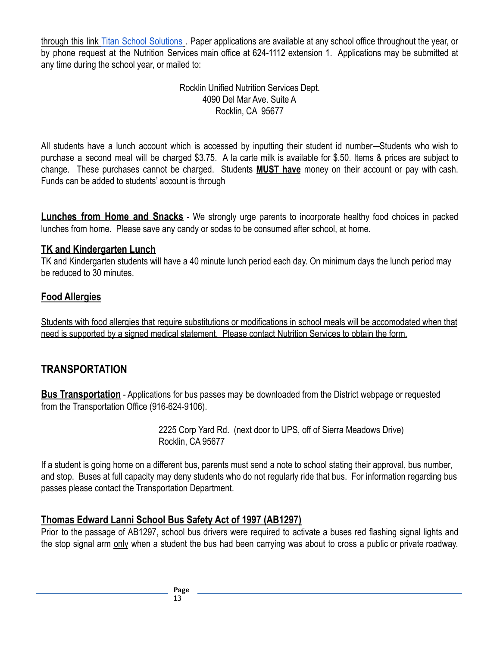through this link Titan School [Solutions](https://family.titank12.com/) . Paper applications are available at any school office throughout the year, or by phone request at the Nutrition Services main office at 624-1112 extension 1. Applications may be submitted at any time during the school year, or mailed to:

> Rocklin Unified Nutrition Services Dept. 4090 Del Mar Ave. Suite A Rocklin, CA 95677

All students have a lunch account which is accessed by inputting their student id number—Students who wish to purchase a second meal will be charged \$3.75. A la carte milk is available for \$.50. Items & prices are subject to change. These purchases cannot be charged. Students **MUST have** money on their account or pay with cash. Funds can be added to students' account is through

**Lunches from Home and Snacks** - We strongly urge parents to incorporate healthy food choices in packed lunches from home. Please save any candy or sodas to be consumed after school, at home.

#### **TK and Kindergarten Lunch**

TK and Kindergarten students will have a 40 minute lunch period each day. On minimum days the lunch period may be reduced to 30 minutes.

#### **Food Allergies**

Students with food allergies that require substitutions or modifications in school meals will be accomodated when that need is supported by a signed medical statement. Please contact Nutrition Services to obtain the form.

# <span id="page-12-0"></span>**TRANSPORTATION**

**Bus Transportation** - Applications for bus passes may be downloaded from the District webpage or requested from the Transportation Office (916-624-9106).

> 2225 Corp Yard Rd. (next door to UPS, off of Sierra Meadows Drive) Rocklin, CA 95677

If a student is going home on a different bus, parents must send a note to school stating their approval, bus number, and stop. Buses at full capacity may deny students who do not regularly ride that bus. For information regarding bus passes please contact the Transportation Department.

#### **Thomas Edward Lanni School Bus Safety Act of 1997 (AB1297)**

Prior to the passage of AB1297, school bus drivers were required to activate a buses red flashing signal lights and the stop signal arm only when a student the bus had been carrying was about to cross a public or private roadway.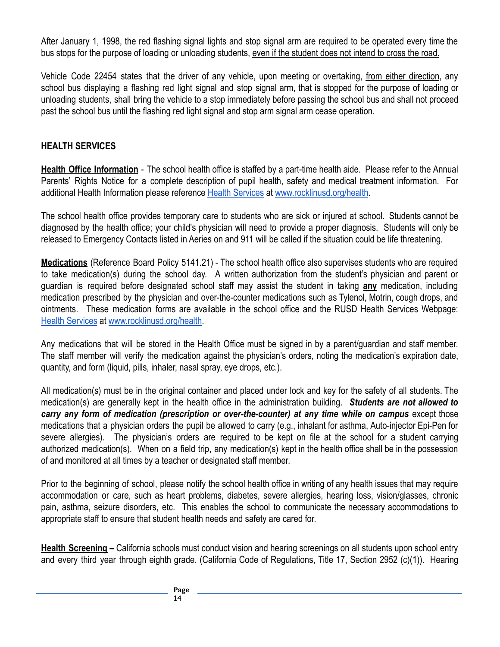After January 1, 1998, the red flashing signal lights and stop signal arm are required to be operated every time the bus stops for the purpose of loading or unloading students, even if the student does not intend to cross the road.

Vehicle Code 22454 states that the driver of any vehicle, upon meeting or overtaking, from either direction, any school bus displaying a flashing red light signal and stop signal arm, that is stopped for the purpose of loading or unloading students, shall bring the vehicle to a stop immediately before passing the school bus and shall not proceed past the school bus until the flashing red light signal and stop arm signal arm cease operation.

#### **HEALTH SERVICES**

<span id="page-13-0"></span>**Health Office Information** - The school health office is staffed by a part-time health aide. Please refer to the Annual Parents' Rights Notice for a complete description of pupil health, safety and medical treatment information. For additional Health Information please reference Health [Services](https://www.rocklinusd.org/Departments/Health-Services/index.html) at [www.rocklinusd.org/health](http://www.rocklinusd.org/health).

The school health office provides temporary care to students who are sick or injured at school. Students cannot be diagnosed by the health office; your child's physician will need to provide a proper diagnosis. Students will only be released to Emergency Contacts listed in Aeries on and 911 will be called if the situation could be life threatening.

**Medications** (Reference Board Policy 5141.21) - The school health office also supervises students who are required to take medication(s) during the school day. A written authorization from the student's physician and parent or guardian is required before designated school staff may assist the student in taking **any** medication, including medication prescribed by the physician and over-the-counter medications such as Tylenol, Motrin, cough drops, and ointments. These medication forms are available in the school office and the RUSD Health Services Webpage: [Health Services](https://www.rocklinusd.org/Departments/Health-Services/index.html) at [www.rocklinusd.org/health](http://www.rocklinusd.org/health).

<span id="page-13-1"></span>Any medications that will be stored in the Health Office must be signed in by a parent/guardian and staff member. The staff member will verify the medication against the physician's orders, noting the medication's expiration date, quantity, and form (liquid, pills, inhaler, nasal spray, eye drops, etc.).

All medication(s) must be in the original container and placed under lock and key for the safety of all students. The medication(s) are generally kept in the health office in the administration building. *Students are not allowed to carry any form of medication (prescription or over-the-counter) at any time while on campus* except those medications that a physician orders the pupil be allowed to carry (e.g., inhalant for asthma, Auto-injector Epi-Pen for severe allergies). The physician's orders are required to be kept on file at the school for a student carrying authorized medication(s). When on a field trip, any medication(s) kept in the health office shall be in the possession of and monitored at all times by a teacher or designated staff member.

Prior to the beginning of school, please notify the school health office in writing of any health issues that may require accommodation or care, such as heart problems, diabetes, severe allergies, hearing loss, vision/glasses, chronic pain, asthma, seizure disorders, etc. This enables the school to communicate the necessary accommodations to appropriate staff to ensure that student health needs and safety are cared for.

**Health Screening –** California schools must conduct vision and hearing screenings on all students upon school entry and every third year through eighth grade. (California Code of Regulations, Title 17, Section 2952 (c)(1)). Hearing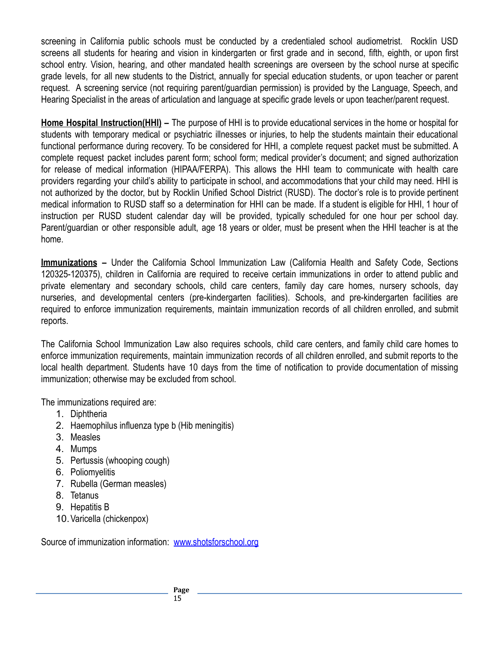screening in California public schools must be conducted by a credentialed school audiometrist. Rocklin USD screens all students for hearing and vision in kindergarten or first grade and in second, fifth, eighth, or upon first school entry. Vision, hearing, and other mandated health screenings are overseen by the school nurse at specific grade levels, for all new students to the District, annually for special education students, or upon teacher or parent request. A screening service (not requiring parent/guardian permission) is provided by the Language, Speech, and Hearing Specialist in the areas of articulation and language at specific grade levels or upon teacher/parent request.

**Home Hospital Instruction(HHI) –** The purpose of HHI is to provide educational services in the home or hospital for students with temporary medical or psychiatric illnesses or injuries, to help the students maintain their educational functional performance during recovery. To be considered for HHI, a complete request packet must be submitted. A complete request packet includes parent form; school form; medical provider's document; and signed authorization for release of medical information (HIPAA/FERPA). This allows the HHI team to communicate with health care providers regarding your child's ability to participate in school, and accommodations that your child may need. HHI is not authorized by the doctor, but by Rocklin Unified School District (RUSD). The doctor's role is to provide pertinent medical information to RUSD staff so a determination for HHI can be made. If a student is eligible for HHI, 1 hour of instruction per RUSD student calendar day will be provided, typically scheduled for one hour per school day. Parent/guardian or other responsible adult, age 18 years or older, must be present when the HHI teacher is at the home.

**Immunizations –** Under the California School Immunization Law (California Health and Safety Code, Sections 120325-120375), children in California are required to receive certain immunizations in order to attend public and private elementary and secondary schools, child care centers, family day care homes, nursery schools, day nurseries, and developmental centers (pre-kindergarten facilities). Schools, and pre-kindergarten facilities are required to enforce immunization requirements, maintain immunization records of all children enrolled, and submit reports.

The California School Immunization Law also requires schools, child care centers, and family child care homes to enforce immunization requirements, maintain immunization records of all children enrolled, and submit reports to the local health department. Students have 10 days from the time of notification to provide documentation of missing immunization; otherwise may be excluded from school.

The immunizations required are:

- 1. Diphtheria
- 2. Haemophilus influenza type b (Hib meningitis)
- 3. Measles
- 4. Mumps
- 5. Pertussis (whooping cough)
- 6. Poliomyelitis
- 7. Rubella (German measles)
- 8. Tetanus
- 9. Hepatitis B
- 10.Varicella (chickenpox)

Source of immunization information: [www.shotsforschool.org](http://www.shotsforschool.org)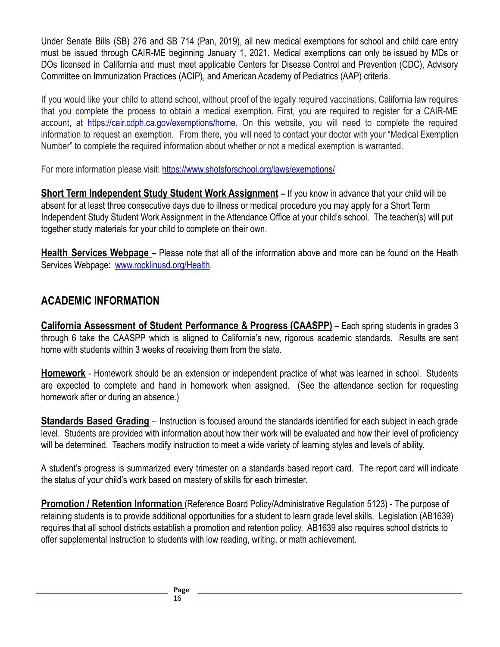Under Senate Bills (SB) 276 and SB 714 (Pan, 2019), all new medical exemptions for school and child care entry must be issued through CAIR-ME beginning January 1, 2021. Medical exemptions can only be issued by MDs or DOs licensed in California and must meet applicable Centers for Disease Control and Prevention (CDC), Advisory Committee on Immunization Practices (ACIP), and American Academy of Pediatrics (AAP) criteria.

If you would like your child to attend school, without proof of the legally required vaccinations, California law requires that you complete the process to obtain a medical exemption. First, you are required to register for a CAIR-ME account, at <https://cair.cdph.ca.gov/exemptions/home>. On this website, you will need to complete the required information to request an exemption. From there, you will need to contact your doctor with your "Medical Exemption Number" to complete the required information about whether or not a medical exemption is warranted.

For more information please visit: <https://www.shotsforschool.org/laws/exemptions/>

**Short Term Independent Study Student Work Assignment –** If you know in advance that your child will be absent for at least three consecutive days due to illness or medical procedure you may apply for a Short Term Independent Study Student Work Assignment in the Attendance Office at your child's school. The teacher(s) will put together study materials for your child to complete on their own.

**Health Services Webpage –** Please note that all of the information above and more can be found on the Heath Services Webpage: [www.rocklinusd.org/Health.](http://www.rocklinusd.org/Health)

# <span id="page-15-0"></span>**ACADEMIC INFORMATION**

**California Assessment of Student Performance & Progress (CAASPP)** – Each spring students in grades 3 through 6 take the CAASPP which is aligned to California's new, rigorous academic standards. Results are sent home with students within 3 weeks of receiving them from the state.

**Homework** - Homework should be an extension or independent practice of what was learned in school. Students are expected to complete and hand in homework when assigned. (See the attendance section for requesting homework after or during an absence.)

**Standards Based Grading** – Instruction is focused around the standards identified for each subject in each grade level. Students are provided with information about how their work will be evaluated and how their level of proficiency will be determined. Teachers modify instruction to meet a wide variety of learning styles and levels of ability.

A student's progress is summarized every trimester on a standards based report card. The report card will indicate the status of your child's work based on mastery of skills for each trimester.

**Promotion / Retention Information** (Reference Board Policy/Administrative Regulation 5123) - The purpose of retaining students is to provide additional opportunities for a student to learn grade level skills. Legislation (AB1639) requires that all school districts establish a promotion and retention policy. AB1639 also requires school districts to offer supplemental instruction to students with low reading, writing, or math achievement.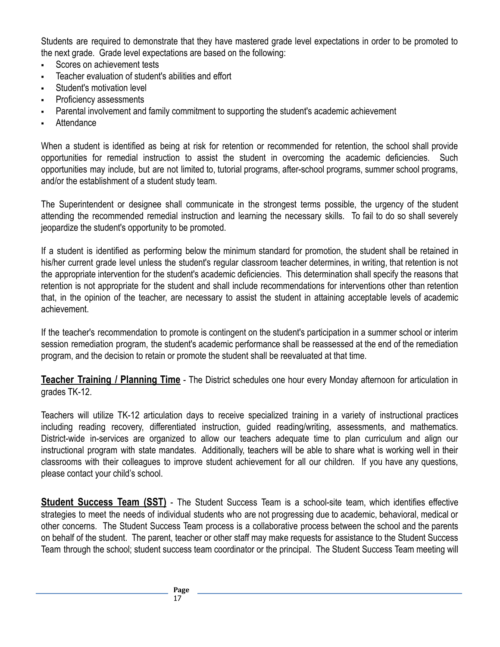Students are required to demonstrate that they have mastered grade level expectations in order to be promoted to the next grade. Grade level expectations are based on the following:

- Scores on achievement tests
- Teacher evaluation of student's abilities and effort
- Student's motivation level
- Proficiency assessments
- Parental involvement and family commitment to supporting the student's academic achievement
- **Attendance**

When a student is identified as being at risk for retention or recommended for retention, the school shall provide opportunities for remedial instruction to assist the student in overcoming the academic deficiencies. Such opportunities may include, but are not limited to, tutorial programs, after-school programs, summer school programs, and/or the establishment of a student study team.

The Superintendent or designee shall communicate in the strongest terms possible, the urgency of the student attending the recommended remedial instruction and learning the necessary skills. To fail to do so shall severely jeopardize the student's opportunity to be promoted.

If a student is identified as performing below the minimum standard for promotion, the student shall be retained in his/her current grade level unless the student's regular classroom teacher determines, in writing, that retention is not the appropriate intervention for the student's academic deficiencies. This determination shall specify the reasons that retention is not appropriate for the student and shall include recommendations for interventions other than retention that, in the opinion of the teacher, are necessary to assist the student in attaining acceptable levels of academic achievement.

If the teacher's recommendation to promote is contingent on the student's participation in a summer school or interim session remediation program, the student's academic performance shall be reassessed at the end of the remediation program, and the decision to retain or promote the student shall be reevaluated at that time.

**Teacher Training / Planning Time** - The District schedules one hour every Monday afternoon for articulation in grades TK-12.

Teachers will utilize TK-12 articulation days to receive specialized training in a variety of instructional practices including reading recovery, differentiated instruction, guided reading/writing, assessments, and mathematics. District-wide in-services are organized to allow our teachers adequate time to plan curriculum and align our instructional program with state mandates. Additionally, teachers will be able to share what is working well in their classrooms with their colleagues to improve student achievement for all our children. If you have any questions, please contact your child's school.

**Student Success Team (SST)** - The Student Success Team is a school-site team, which identifies effective strategies to meet the needs of individual students who are not progressing due to academic, behavioral, medical or other concerns. The Student Success Team process is a collaborative process between the school and the parents on behalf of the student. The parent, teacher or other staff may make requests for assistance to the Student Success Team through the school; student success team coordinator or the principal. The Student Success Team meeting will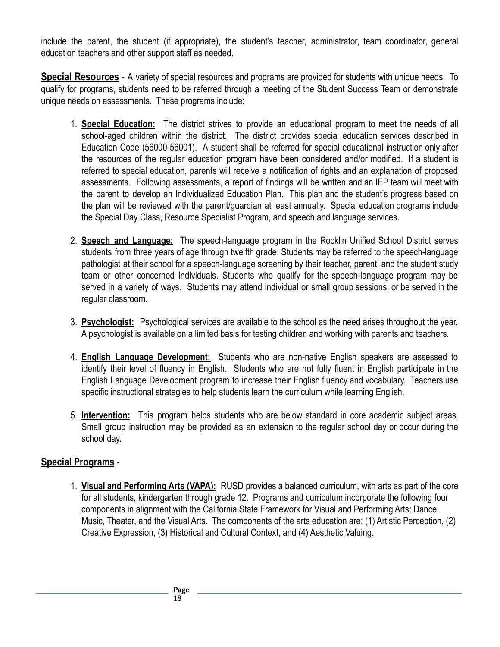include the parent, the student (if appropriate), the student's teacher, administrator, team coordinator, general education teachers and other support staff as needed.

**Special Resources** - A variety of special resources and programs are provided for students with unique needs. To qualify for programs, students need to be referred through a meeting of the Student Success Team or demonstrate unique needs on assessments. These programs include:

- 1. **Special Education:** The district strives to provide an educational program to meet the needs of all school-aged children within the district. The district provides special education services described in Education Code (56000-56001). A student shall be referred for special educational instruction only after the resources of the regular education program have been considered and/or modified. If a student is referred to special education, parents will receive a notification of rights and an explanation of proposed assessments. Following assessments, a report of findings will be written and an IEP team will meet with the parent to develop an Individualized Education Plan. This plan and the student's progress based on the plan will be reviewed with the parent/guardian at least annually. Special education programs include the Special Day Class, Resource Specialist Program, and speech and language services.
- 2. **Speech and Language:** The speech-language program in the Rocklin Unified School District serves students from three years of age through twelfth grade. Students may be referred to the speech-language pathologist at their school for a speech-language screening by their teacher, parent, and the student study team or other concerned individuals. Students who qualify for the speech-language program may be served in a variety of ways. Students may attend individual or small group sessions, or be served in the regular classroom.
- 3. **Psychologist:** Psychological services are available to the school as the need arises throughout the year. A psychologist is available on a limited basis for testing children and working with parents and teachers.
- 4. **English Language Development:** Students who are non-native English speakers are assessed to identify their level of fluency in English. Students who are not fully fluent in English participate in the English Language Development program to increase their English fluency and vocabulary. Teachers use specific instructional strategies to help students learn the curriculum while learning English.
- 5. **Intervention:** This program helps students who are below standard in core academic subject areas. Small group instruction may be provided as an extension to the regular school day or occur during the school day.

#### **Special Programs** -

1. **Visual and Performing Arts (VAPA):** RUSD provides a balanced curriculum, with arts as part of the core for all students, kindergarten through grade 12. Programs and curriculum incorporate the following four components in alignment with the California State Framework for Visual and Performing Arts: Dance, Music, Theater, and the Visual Arts. The components of the arts education are: (1) Artistic Perception, (2) Creative Expression, (3) Historical and Cultural Context, and (4) Aesthetic Valuing.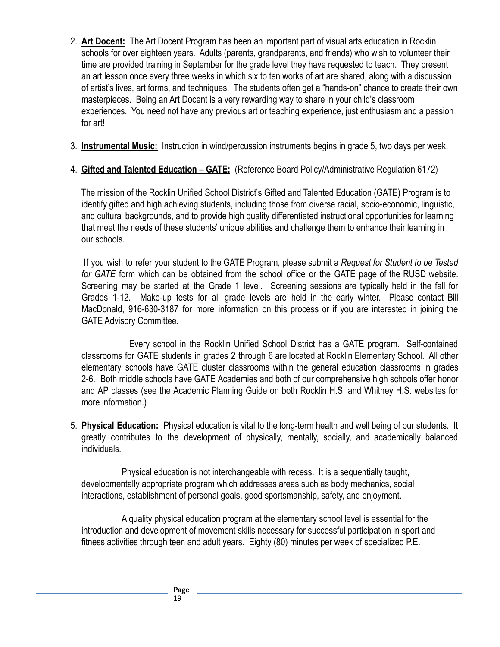- 2. **Art Docent:** The Art Docent Program has been an important part of visual arts education in Rocklin schools for over eighteen years. Adults (parents, grandparents, and friends) who wish to volunteer their time are provided training in September for the grade level they have requested to teach. They present an art lesson once every three weeks in which six to ten works of art are shared, along with a discussion of artist's lives, art forms, and techniques. The students often get a "hands-on" chance to create their own masterpieces. Being an Art Docent is a very rewarding way to share in your child's classroom experiences. You need not have any previous art or teaching experience, just enthusiasm and a passion for art!
- 3. **Instrumental Music:** Instruction in wind/percussion instruments begins in grade 5, two days per week.
- 4. **Gifted and Talented Education GATE:** (Reference Board Policy/Administrative Regulation 6172)

The mission of the Rocklin Unified School District's Gifted and Talented Education (GATE) Program is to identify gifted and high achieving students, including those from diverse racial, socio-economic, linguistic, and cultural backgrounds, and to provide high quality differentiated instructional opportunities for learning that meet the needs of these students' unique abilities and challenge them to enhance their learning in our schools.

If you wish to refer your student to the GATE Program, please submit a *Request for Student to be Tested for GATE* form which can be obtained from the school office or the GATE page of the RUSD website. Screening may be started at the Grade 1 level. Screening sessions are typically held in the fall for Grades 1-12. Make-up tests for all grade levels are held in the early winter. Please contact Bill MacDonald, 916-630-3187 for more information on this process or if you are interested in joining the GATE Advisory Committee.

Every school in the Rocklin Unified School District has a GATE program. Self-contained classrooms for GATE students in grades 2 through 6 are located at Rocklin Elementary School. All other elementary schools have GATE cluster classrooms within the general education classrooms in grades 2-6. Both middle schools have GATE Academies and both of our comprehensive high schools offer honor and AP classes (see the Academic Planning Guide on both Rocklin H.S. and Whitney H.S. websites for more information.)

5. **Physical Education:** Physical education is vital to the long-term health and well being of our students. It greatly contributes to the development of physically, mentally, socially, and academically balanced individuals.

Physical education is not interchangeable with recess. It is a sequentially taught, developmentally appropriate program which addresses areas such as body mechanics, social interactions, establishment of personal goals, good sportsmanship, safety, and enjoyment.

A quality physical education program at the elementary school level is essential for the introduction and development of movement skills necessary for successful participation in sport and fitness activities through teen and adult years. Eighty (80) minutes per week of specialized P.E.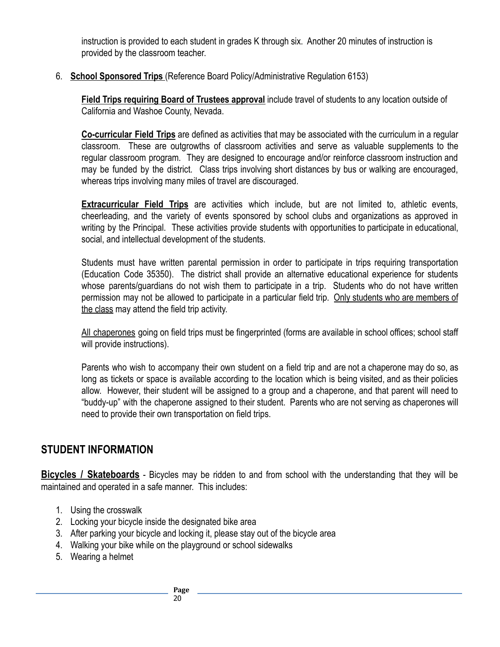instruction is provided to each student in grades K through six. Another 20 minutes of instruction is provided by the classroom teacher.

6. **School Sponsored Trips** (Reference Board Policy/Administrative Regulation 6153)

**Field Trips requiring Board of Trustees approval** include travel of students to any location outside of California and Washoe County, Nevada.

**Co-curricular Field Trips** are defined as activities that may be associated with the curriculum in a regular classroom. These are outgrowths of classroom activities and serve as valuable supplements to the regular classroom program. They are designed to encourage and/or reinforce classroom instruction and may be funded by the district. Class trips involving short distances by bus or walking are encouraged, whereas trips involving many miles of travel are discouraged.

**Extracurricular Field Trips** are activities which include, but are not limited to, athletic events, cheerleading, and the variety of events sponsored by school clubs and organizations as approved in writing by the Principal. These activities provide students with opportunities to participate in educational, social, and intellectual development of the students.

Students must have written parental permission in order to participate in trips requiring transportation (Education Code 35350). The district shall provide an alternative educational experience for students whose parents/guardians do not wish them to participate in a trip. Students who do not have written permission may not be allowed to participate in a particular field trip. Only students who are members of the class may attend the field trip activity.

All chaperones going on field trips must be fingerprinted (forms are available in school offices; school staff will provide instructions).

Parents who wish to accompany their own student on a field trip and are not a chaperone may do so, as long as tickets or space is available according to the location which is being visited, and as their policies allow. However, their student will be assigned to a group and a chaperone, and that parent will need to "buddy-up" with the chaperone assigned to their student. Parents who are not serving as chaperones will need to provide their own transportation on field trips.

# **STUDENT INFORMATION**

**Bicycles / Skateboards** - Bicycles may be ridden to and from school with the understanding that they will be maintained and operated in a safe manner. This includes:

- 1. Using the crosswalk
- 2. Locking your bicycle inside the designated bike area
- 3. After parking your bicycle and locking it, please stay out of the bicycle area
- 4. Walking your bike while on the playground or school sidewalks
- 5. Wearing a helmet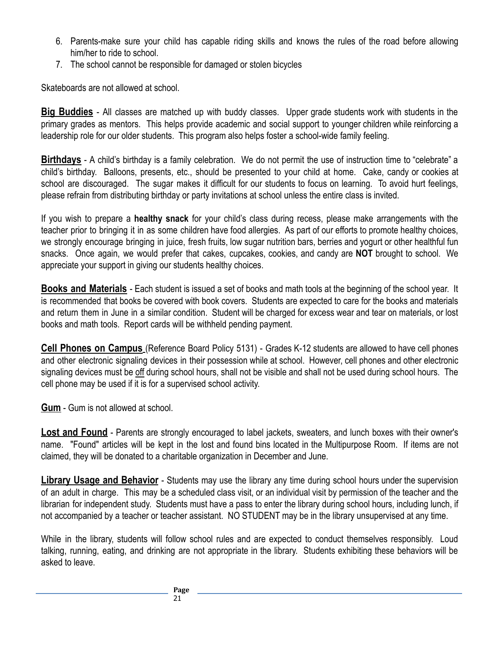- 6. Parents-make sure your child has capable riding skills and knows the rules of the road before allowing him/her to ride to school.
- 7. The school cannot be responsible for damaged or stolen bicycles

Skateboards are not allowed at school.

<span id="page-20-0"></span>**Big Buddies** - All classes are matched up with buddy classes. Upper grade students work with students in the primary grades as mentors. This helps provide academic and social support to younger children while reinforcing a leadership role for our older students. This program also helps foster a school-wide family feeling.

**Birthdays** - A child's birthday is a family celebration. We do not permit the use of instruction time to "celebrate" a child's birthday. Balloons, presents, etc., should be presented to your child at home. Cake, candy or cookies at school are discouraged. The sugar makes it difficult for our students to focus on learning. To avoid hurt feelings, please refrain from distributing birthday or party invitations at school unless the entire class is invited.

If you wish to prepare a **healthy snack** for your child's class during recess, please make arrangements with the teacher prior to bringing it in as some children have food allergies. As part of our efforts to promote healthy choices, we strongly encourage bringing in juice, fresh fruits, low sugar nutrition bars, berries and yogurt or other healthful fun snacks. Once again, we would prefer that cakes, cupcakes, cookies, and candy are **NOT** brought to school. We appreciate your support in giving our students healthy choices.

**Books and Materials** - Each student is issued a set of books and math tools at the beginning of the school year. It is recommended that books be covered with book covers. Students are expected to care for the books and materials and return them in June in a similar condition. Student will be charged for excess wear and tear on materials, or lost books and math tools. Report cards will be withheld pending payment.

**Cell Phones on Campus** (Reference Board Policy 5131) - Grades K-12 students are allowed to have cell phones and other electronic signaling devices in their possession while at school. However, cell phones and other electronic signaling devices must be off during school hours, shall not be visible and shall not be used during school hours. The cell phone may be used if it is for a supervised school activity.

**Gum** - Gum is not allowed at school.

**Lost and Found** - Parents are strongly encouraged to label jackets, sweaters, and lunch boxes with their owner's name. "Found" articles will be kept in the lost and found bins located in the Multipurpose Room. If items are not claimed, they will be donated to a charitable organization in December and June.

**Library Usage and Behavior** - Students may use the library any time during school hours under the supervision of an adult in charge. This may be a scheduled class visit, or an individual visit by permission of the teacher and the librarian for independent study. Students must have a pass to enter the library during school hours, including lunch, if not accompanied by a teacher or teacher assistant. NO STUDENT may be in the library unsupervised at any time.

While in the library, students will follow school rules and are expected to conduct themselves responsibly. Loud talking, running, eating, and drinking are not appropriate in the library. Students exhibiting these behaviors will be asked to leave.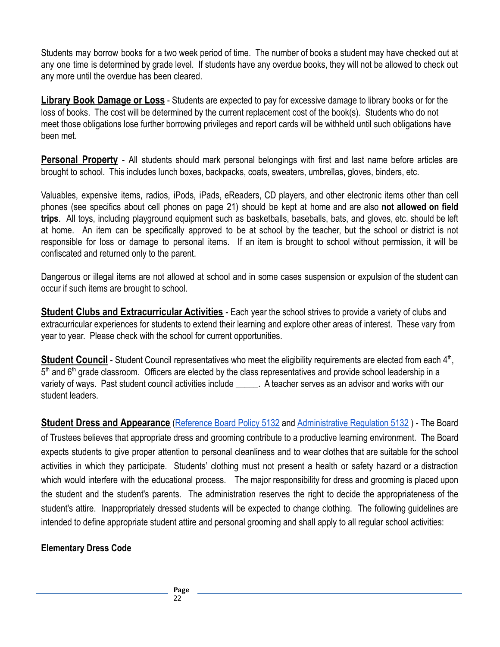Students may borrow books for a two week period of time. The number of books a student may have checked out at any one time is determined by grade level. If students have any overdue books, they will not be allowed to check out any more until the overdue has been cleared.

**Library Book Damage or Loss** - Students are expected to pay for excessive damage to library books or for the loss of books. The cost will be determined by the current replacement cost of the book(s). Students who do not meet those obligations lose further borrowing privileges and report cards will be withheld until such obligations have been met.

**Personal Property** - All students should mark personal belongings with first and last name before articles are brought to school. This includes lunch boxes, backpacks, coats, sweaters, umbrellas, gloves, binders, etc.

Valuables, expensive items, radios, iPods, iPads, eReaders, CD players, and other electronic items other than cell phones (see specifics about cell phones on page 21) should be kept at home and are also **not allowed on field trips**. All toys, including playground equipment such as basketballs, baseballs, bats, and gloves, etc. should be left at home. An item can be specifically approved to be at school by the teacher, but the school or district is not responsible for loss or damage to personal items. If an item is brought to school without permission, it will be confiscated and returned only to the parent.

Dangerous or illegal items are not allowed at school and in some cases suspension or expulsion of the student can occur if such items are brought to school.

**Student Clubs and Extracurricular Activities** - Each year the school strives to provide a variety of clubs and extracurricular experiences for students to extend their learning and explore other areas of interest. These vary from year to year. Please check with the school for current opportunities.

Student Council - Student Council representatives who meet the eligibility requirements are elected from each 4<sup>th</sup>, 5<sup>th</sup> and 6<sup>th</sup> grade classroom. Officers are elected by the class representatives and provide school leadership in a variety of ways. Past student council activities include . A teacher serves as an advisor and works with our student leaders.

**Student Dress and Appearance** ([Reference](https://drive.google.com/file/d/1CrbdcZaP-ezUoHdq-KmSt07fSgwvXERL/view?usp=sharing) Board Policy 5132 and [Administrative](https://drive.google.com/file/d/1m5_AgBgUZJ0zntB6APqMZBUPwvMZtbM_/view?usp=sharing) Regulation 5132 ) - The Board of Trustees believes that appropriate dress and grooming contribute to a productive learning environment. The Board expects students to give proper attention to personal cleanliness and to wear clothes that are suitable for the school activities in which they participate. Students' clothing must not present a health or safety hazard or a distraction which would interfere with the educational process. The major responsibility for dress and grooming is placed upon the student and the student's parents. The administration reserves the right to decide the appropriateness of the student's attire. Inappropriately dressed students will be expected to change clothing. The following guidelines are intended to define appropriate student attire and personal grooming and shall apply to all regular school activities:

#### **Elementary Dress Code**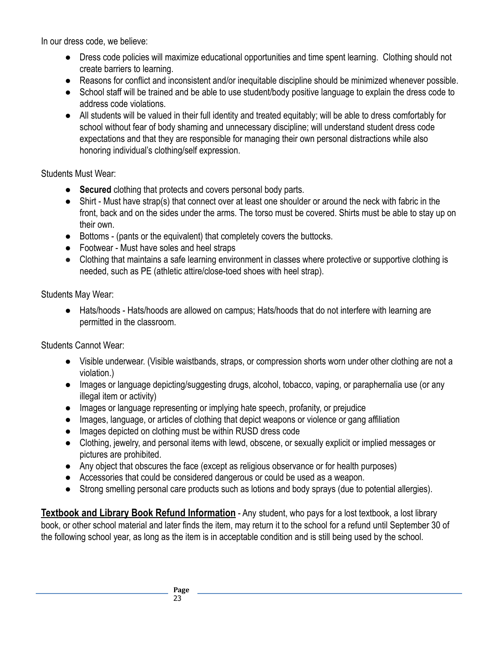In our dress code, we believe:

- Dress code policies will maximize educational opportunities and time spent learning. Clothing should not create barriers to learning.
- Reasons for conflict and inconsistent and/or inequitable discipline should be minimized whenever possible.
- School staff will be trained and be able to use student/body positive language to explain the dress code to address code violations.
- All students will be valued in their full identity and treated equitably; will be able to dress comfortably for school without fear of body shaming and unnecessary discipline; will understand student dress code expectations and that they are responsible for managing their own personal distractions while also honoring individual's clothing/self expression.

Students Must Wear:

- **Secured** clothing that protects and covers personal body parts.
- Shirt Must have strap(s) that connect over at least one shoulder or around the neck with fabric in the front, back and on the sides under the arms. The torso must be covered. Shirts must be able to stay up on their own.
- Bottoms (pants or the equivalent) that completely covers the buttocks.
- Footwear Must have soles and heel straps
- Clothing that maintains a safe learning environment in classes where protective or supportive clothing is needed, such as PE (athletic attire/close-toed shoes with heel strap).

Students May Wear:

● Hats/hoods - Hats/hoods are allowed on campus; Hats/hoods that do not interfere with learning are permitted in the classroom.

Students Cannot Wear:

- Visible underwear. (Visible waistbands, straps, or compression shorts worn under other clothing are not a violation.)
- Images or language depicting/suggesting drugs, alcohol, tobacco, vaping, or paraphernalia use (or any illegal item or activity)
- Images or language representing or implying hate speech, profanity, or prejudice
- Images, language, or articles of clothing that depict weapons or violence or gang affiliation
- Images depicted on clothing must be within RUSD dress code
- Clothing, jewelry, and personal items with lewd, obscene, or sexually explicit or implied messages or pictures are prohibited.
- Any object that obscures the face (except as religious observance or for health purposes)
- Accessories that could be considered dangerous or could be used as a weapon.
- Strong smelling personal care products such as lotions and body sprays (due to potential allergies).

**Textbook and Library Book Refund Information** - Any student, who pays for a lost textbook, a lost library book, or other school material and later finds the item, may return it to the school for a refund until September 30 of the following school year, as long as the item is in acceptable condition and is still being used by the school.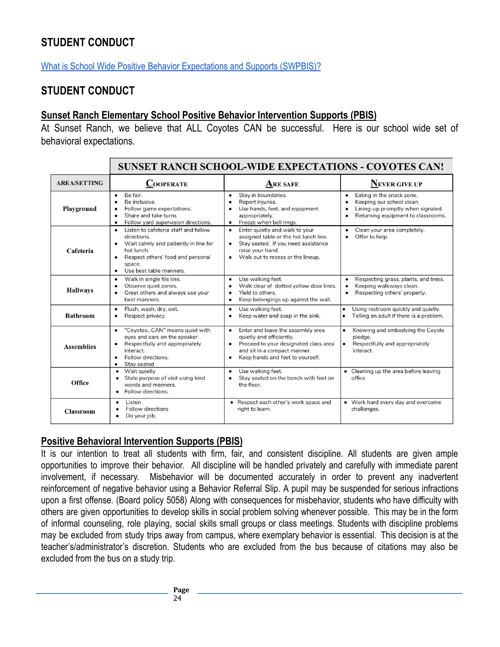# <span id="page-23-0"></span>**STUDENT CONDUCT**

[What is School Wide Positive Behavior Expectations and Supports \(SWPBIS\)?](https://youtu.be/URR7A33ArTY)

#### **STUDENT CONDUCT**

#### **Sunset Ranch Elementary School Positive Behavior Intervention Supports (PBIS)**

At Sunset Ranch, we believe that ALL Coyotes CAN be successful. Here is our school wide set of behavioral expectations.

|                     | <b>SUNSET RANCH SCHOOL-WIDE EXPECTATIONS - COYOTES CAN!</b>                                                                                                                                                    |                                                                                                                                                                                                                   |                                                                                                                                                             |
|---------------------|----------------------------------------------------------------------------------------------------------------------------------------------------------------------------------------------------------------|-------------------------------------------------------------------------------------------------------------------------------------------------------------------------------------------------------------------|-------------------------------------------------------------------------------------------------------------------------------------------------------------|
| <b>AREA/SETTING</b> | <b>COOPERATE</b>                                                                                                                                                                                               | <b>ARE SAFE</b>                                                                                                                                                                                                   | <b>NEVER GIVE UP</b>                                                                                                                                        |
| Playground          | Be fair.<br>$\bullet$<br>Be inclusive.<br>٠<br>Follow game expectations.<br>٠<br>Share and take turns.<br>$\bullet$<br>Follow yard supervision directions.<br>$\bullet$                                        | Stay in boundaries.<br>$\bullet$<br>Report injuries.<br>$\bullet$<br>Use hands, feet, and equipment<br>$\bullet$<br>appropriately.<br>Freeze when bell rings.<br>$\bullet$                                        | Eating in the snack zone.<br>$\bullet$<br>Keeping our school clean.<br>$\bullet$<br>Lining-up promptly when signaled.<br>Returning equipment to classrooms. |
| Cafeteria           | Listen to cafeteria staff and follow<br>directions.<br>Wait calmly and patiently in line for<br>hot lunch.<br>Respect others' food and personal<br>$\bullet$<br>space.<br>Use best table manners.<br>$\bullet$ | Enter quietly and walk to your<br>$\bullet$<br>assigned table or the hot lunch line.<br>Stay seated. If you need assistance<br>$\bullet$<br>raise your hand.<br>Walk out to recess or the lineup.<br>$\bullet$    | Clean your area completely.<br>Offer to help.                                                                                                               |
| <b>Hallways</b>     | Walk in single file line.<br>$\bullet$<br>Observe quiet zones.<br>$\bullet$<br>Greet others and always use your<br>$\bullet$<br>best manners.                                                                  | Use walking feet.<br>$\bullet$<br>Walk clear of dotted yellow door lines.<br>$\bullet$<br>Yield to others.<br>$\bullet$<br>Keep belongings up against the wall.<br>$\bullet$                                      | Respecting grass, plants, and trees.<br>$\bullet$<br>Keeping walkways clean.<br>Respecting others' property.<br>$\bullet$                                   |
| <b>Bathroom</b>     | Flush, wash, dry, exit.<br>$\bullet$<br>Respect privacy.<br>٠                                                                                                                                                  | Use walking feet.<br>$\bullet$<br>Keep water and soap in the sink.<br>$\bullet$                                                                                                                                   | Using restroom quickly and quietly.<br>$\bullet$<br>Telling an adult if there is a problem.<br>$\bullet$                                                    |
| <b>Assemblies</b>   | "CoyotesCAN" means quiet with<br>$\bullet$<br>eyes and ears on the speaker.<br>Respectfully and appropriately<br>interact.<br>Follow directions.<br>$\bullet$<br>Stay seated<br>$\bullet$                      | Enter and leave the assembly area<br>$\bullet$<br>quietly and efficiently.<br>Proceed to your designated class area<br>$\bullet$<br>and sit in a compact manner.<br>Keep hands and feet to yourself.<br>$\bullet$ | Knowing and embodying the Coyote<br>$\bullet$<br>pledge.<br>Respectfully and appropriately<br>interact.                                                     |
| Office              | Wait quietly<br>$\bullet$<br>State purpose of visit using kind<br>$\bullet$<br>words and manners.<br>Follow directions.                                                                                        | Use walking feet.<br>$\bullet$<br>Stay seated on the bench with feet on<br>$\bullet$<br>the floor.                                                                                                                | • Cleaning up the area before leaving<br>office                                                                                                             |
| <b>Classroom</b>    | Listen<br>$\bullet$<br><b>Follow directions</b><br>Do your job.<br>$\bullet$                                                                                                                                   | • Respect each other's work space and<br>right to learn.                                                                                                                                                          | • Work hard every day and overcome<br>challenges.                                                                                                           |

#### **Positive Behavioral Intervention Supports (PBIS)**

It is our intention to treat all students with firm, fair, and consistent discipline. All students are given ample opportunities to improve their behavior. All discipline will be handled privately and carefully with immediate parent involvement, if necessary. Misbehavior will be documented accurately in order to prevent any inadvertent reinforcement of negative behavior using a Behavior Referral Slip. A pupil may be suspended for serious infractions upon a first offense. (Board policy 5058) Along with consequences for misbehavior, students who have difficulty with others are given opportunities to develop skills in social problem solving whenever possible. This may be in the form of informal counseling, role playing, social skills small groups or class meetings. Students with discipline problems may be excluded from study trips away from campus, where exemplary behavior is essential. This decision is at the teacher's/administrator's discretion. Students who are excluded from the bus because of citations may also be excluded from the bus on a study trip.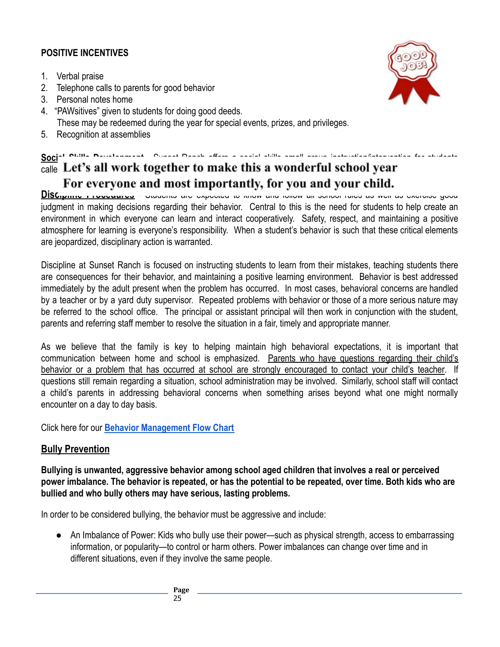#### **POSITIVE INCENTIVES**

- 1. Verbal praise
- 2. Telephone calls to parents for good behavior
- 3. Personal notes home
- 4. "PAWsitives" given to students for doing good deeds. These may be redeemed during the year for special events, prizes, and privileges.
- 5. Recognition at assemblies

# **Social Skills Development** - Sunset Ranch offers a social skills small group instruction/intervention for students  $\frac{1}{\text{calle}}$  Let's all work together to make this a wonderful school year For everyone and most importantly, for you and your child.

**DISCIPINIE <b>PROCEDURES** - Students are expected to know and follow all school rules as well as exercise good judgment in making decisions regarding their behavior. Central to this is the need for students to help create an environment in which everyone can learn and interact cooperatively. Safety, respect, and maintaining a positive atmosphere for learning is everyone's responsibility. When a student's behavior is such that these critical elements are jeopardized, disciplinary action is warranted.

Discipline at Sunset Ranch is focused on instructing students to learn from their mistakes, teaching students there are consequences for their behavior, and maintaining a positive learning environment. Behavior is best addressed immediately by the adult present when the problem has occurred. In most cases, behavioral concerns are handled by a teacher or by a yard duty supervisor. Repeated problems with behavior or those of a more serious nature may be referred to the school office. The principal or assistant principal will then work in conjunction with the student, parents and referring staff member to resolve the situation in a fair, timely and appropriate manner.

As we believe that the family is key to helping maintain high behavioral expectations, it is important that communication between home and school is emphasized. Parents who have questions regarding their child's behavior or a problem that has occurred at school are strongly encouraged to contact your child's teacher. If questions still remain regarding a situation, school administration may be involved. Similarly, school staff will contact a child's parents in addressing behavioral concerns when something arises beyond what one might normally encounter on a day to day basis.

Click here for our **[Behavior Management Flow Chart](https://docs.google.com/document/d/1Uz3SyO_l9Own_1iGohXvcbwa5EpKZ5HjVW7O-FFC7oU/edit)**

#### **Bully Prevention**

**Bullying is unwanted, aggressive behavior among school aged children that involves a real or perceived power imbalance. The behavior is repeated, or has the potential to be repeated, over time. Both kids who are bullied and who bully others may have serious, lasting problems.**

In order to be considered bullying, the behavior must be aggressive and include:

• An Imbalance of Power: Kids who bully use their power—such as physical strength, access to embarrassing information, or popularity—to control or harm others. Power imbalances can change over time and in different situations, even if they involve the same people.

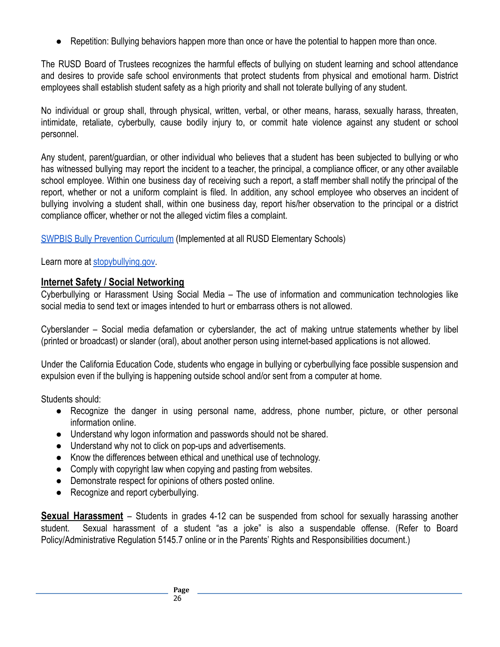● Repetition: Bullying behaviors happen more than once or have the potential to happen more than once.

The RUSD Board of Trustees recognizes the harmful effects of bullying on student learning and school attendance and desires to provide safe school environments that protect students from physical and emotional harm. District employees shall establish student safety as a high priority and shall not tolerate bullying of any student.

No individual or group shall, through physical, written, verbal, or other means, harass, sexually harass, threaten, intimidate, retaliate, cyberbully, cause bodily injury to, or commit hate violence against any student or school personnel.

Any student, parent/guardian, or other individual who believes that a student has been subjected to bullying or who has witnessed bullying may report the incident to a teacher, the principal, a compliance officer, or any other available school employee. Within one business day of receiving such a report, a staff member shall notify the principal of the report, whether or not a uniform complaint is filed. In addition, any school employee who observes an incident of bullying involving a student shall, within one business day, report his/her observation to the principal or a district compliance officer, whether or not the alleged victim files a complaint.

[SWPBIS Bully Prevention Curriculum](https://drive.google.com/file/d/1EX4XbDJ1oI8UlFfhrwNO2cJ-H3CYXEnx/view?usp=sharing) (Implemented at all RUSD Elementary Schools)

Learn more at [stopybullying.gov.](https://www.stopbullying.gov/what-is-bullying/index.html)

### **Internet Safety / Social Networking**

Cyberbullying or Harassment Using Social Media – The use of information and communication technologies like social media to send text or images intended to hurt or embarrass others is not allowed.

Cyberslander – Social media defamation or cyberslander, the act of making untrue statements whether by libel (printed or broadcast) or slander (oral), about another person using internet-based applications is not allowed.

Under the California Education Code, students who engage in bullying or cyberbullying face possible suspension and expulsion even if the bullying is happening outside school and/or sent from a computer at home.

Students should:

- Recognize the danger in using personal name, address, phone number, picture, or other personal information online.
- Understand why logon information and passwords should not be shared.
- Understand why not to click on pop-ups and advertisements.
- Know the differences between ethical and unethical use of technology.
- Comply with copyright law when copying and pasting from websites.
- Demonstrate respect for opinions of others posted online.
- Recognize and report cyberbullying.

<span id="page-25-1"></span><span id="page-25-0"></span>**Sexual Harassment** – Students in grades 4-12 can be suspended from school for sexually harassing another student. Sexual harassment of a student "as a joke" is also a suspendable offense. (Refer to Board Policy/Administrative Regulation 5145.7 online or in the Parents' Rights and Responsibilities document.)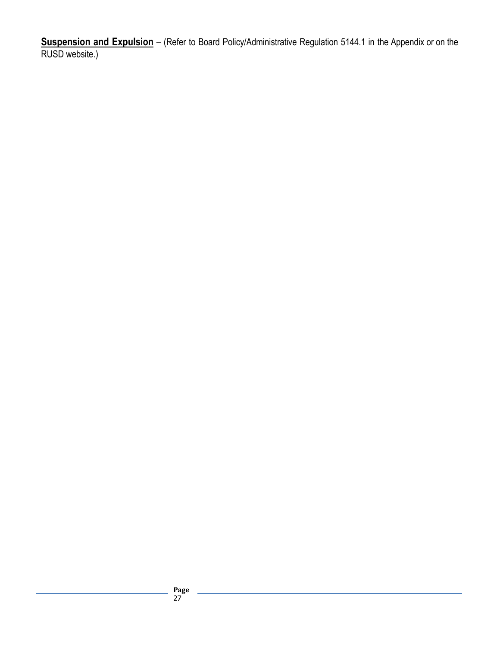**Suspension and Expulsion** – (Refer to Board Policy/Administrative Regulation 5144.1 in the Appendix or on the RUSD website.)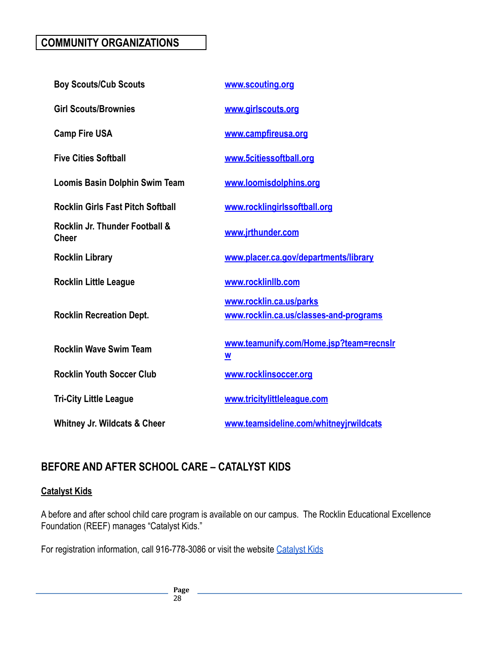# <span id="page-27-0"></span>**COMMUNITY ORGANIZATIONS**

| <b>Boy Scouts/Cub Scouts</b>                   | www.scouting.org                                                    |
|------------------------------------------------|---------------------------------------------------------------------|
| <b>Girl Scouts/Brownies</b>                    | www.girlscouts.org                                                  |
| <b>Camp Fire USA</b>                           | www.campfireusa.org                                                 |
| <b>Five Cities Softball</b>                    | www.5citiessoftball.org                                             |
| Loomis Basin Dolphin Swim Team                 | www.loomisdolphins.org                                              |
| <b>Rocklin Girls Fast Pitch Softball</b>       | www.rocklingirlssoftball.org                                        |
| Rocklin Jr. Thunder Football &<br><b>Cheer</b> | www.jrthunder.com                                                   |
| <b>Rocklin Library</b>                         | www.placer.ca.gov/departments/library                               |
| <b>Rocklin Little League</b>                   | www.rocklinllb.com                                                  |
| <b>Rocklin Recreation Dept.</b>                | www.rocklin.ca.us/parks<br>www.rocklin.ca.us/classes-and-programs   |
| <b>Rocklin Wave Swim Team</b>                  | www.teamunify.com/Home.jsp?team=recnslr<br>$\underline{\mathsf{w}}$ |
| <b>Rocklin Youth Soccer Club</b>               | www.rocklinsoccer.org                                               |
| <b>Tri-City Little League</b>                  | www.tricitylittleleague.com                                         |
| <b>Whitney Jr. Wildcats &amp; Cheer</b>        | www.teamsideline.com/whitneyjrwildcats                              |

# **BEFORE AND AFTER SCHOOL CARE – CATALYST KIDS**

#### **Catalyst Kids**

A before and after school child care program is available on our campus. The Rocklin Educational Excellence Foundation (REEF) manages "Catalyst Kids."

For registration information, call 916-778-3086 or visit the website [Catalyst Kids](https://www.rocklinusd.org/Schools/Catalyst-Kids/index.html)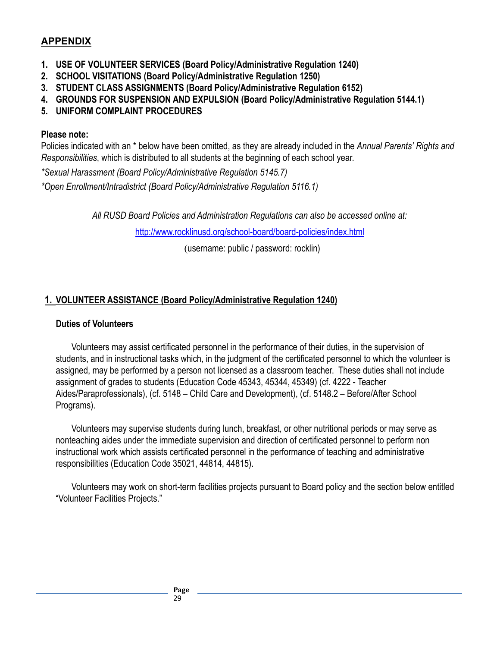#### **APPENDIX**

- **1. USE OF VOLUNTEER SERVICES (Board Policy/Administrative Regulation 1240)**
- **2. SCHOOL VISITATIONS (Board Policy/Administrative Regulation 1250)**
- **3. STUDENT CLASS ASSIGNMENTS (Board Policy/Administrative Regulation 6152)**
- **4. GROUNDS FOR SUSPENSION AND EXPULSION (Board Policy/Administrative Regulation 5144.1)**
- **5. UNIFORM COMPLAINT PROCEDURES**

#### **Please note:**

Policies indicated with an \* below have been omitted, as they are already included in the *Annual Parents' Rights and Responsibilities*, which is distributed to all students at the beginning of each school year.

*\*Sexual Harassment (Board Policy/Administrative Regulation 5145.7)*

*\*Open Enrollment/Intradistrict (Board Policy/Administrative Regulation 5116.1)*

*All RUSD Board Policies and Administration Regulations can also be accessed online at:*

<http://www.rocklinusd.org/school-board/board-policies/index.html>

(username: public / password: rocklin)

#### <span id="page-28-0"></span>**1. VOLUNTEER ASSISTANCE (Board Policy/Administrative Regulation 1240)**

#### **Duties of Volunteers**

Volunteers may assist certificated personnel in the performance of their duties, in the supervision of students, and in instructional tasks which, in the judgment of the certificated personnel to which the volunteer is assigned, may be performed by a person not licensed as a classroom teacher. These duties shall not include assignment of grades to students (Education Code [45343,](http://www.gamutonline.net/displayPolicy/131918/1) [45344](http://www.gamutonline.net/displayPolicy/131919/1), [45349](http://www.gamutonline.net/displayPolicy/131925/1)) (cf. [4222](http://www.gamutonline.net/displayPolicy/232620/1) - Teacher Aides/Paraprofessionals), (cf. 5148 – Child Care and Development), (cf. 5148.2 – Before/After School Programs).

Volunteers may supervise students during lunch, breakfast, or other nutritional periods or may serve as nonteaching aides under the immediate supervision and direction of certificated personnel to perform non instructional work which assists certificated personnel in the performance of teaching and administrative responsibilities (Education Code [35021](http://www.gamutonline.net/displayPolicy/131352/1), [44814,](http://www.gamutonline.net/displayPolicy/130929/1) [44815\)](http://www.gamutonline.net/displayPolicy/130930/1).

Volunteers may work on short-term facilities projects pursuant to Board policy and the section below entitled "Volunteer Facilities Projects."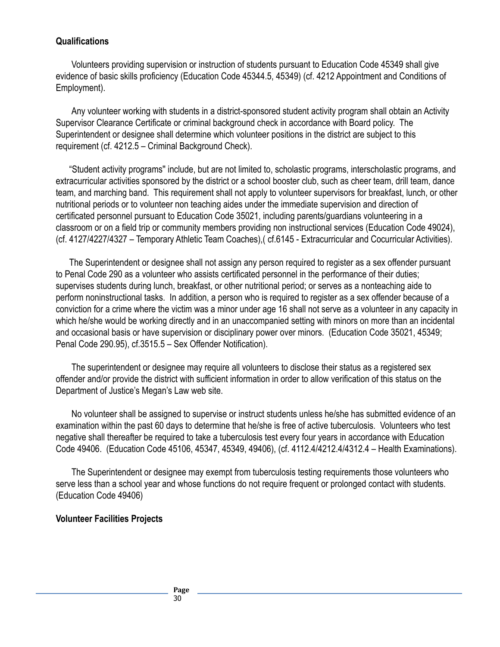#### **Qualifications**

Volunteers providing supervision or instruction of students pursuant to Education Code 45349 shall give evidence of basic skills proficiency (Education Code 45344.5, 45349) (cf. 4212 Appointment and Conditions of Employment).

Any volunteer working with students in a district-sponsored student activity program shall obtain an Activity Supervisor Clearance Certificate or criminal background check in accordance with Board policy. The Superintendent or designee shall determine which volunteer positions in the district are subject to this requirement (cf. 4212.5 – Criminal Background Check).

"Student activity programs'' include, but are not limited to, scholastic programs, interscholastic programs, and extracurricular activities sponsored by the district or a school booster club, such as cheer team, drill team, dance team, and marching band. This requirement shall not apply to volunteer supervisors for breakfast, lunch, or other nutritional periods or to volunteer non teaching aides under the immediate supervision and direction of certificated personnel pursuant to Education Code 35021, including parents/guardians volunteering in a classroom or on a field trip or community members providing non instructional services (Education Code 49024), (cf. 4127/4227/4327 – Temporary Athletic Team Coaches),( cf.6145 - Extracurricular and Cocurricular Activities).

The Superintendent or designee shall not assign any person required to register as a sex offender pursuant to Penal Code 290 as a volunteer who assists certificated personnel in the performance of their duties; supervises students during lunch, breakfast, or other nutritional period; or serves as a nonteaching aide to perform noninstructional tasks. In addition, a person who is required to register as a sex offender because of a conviction for a crime where the victim was a minor under age 16 shall not serve as a volunteer in any capacity in which he/she would be working directly and in an unaccompanied setting with minors on more than an incidental and occasional basis or have supervision or disciplinary power over minors. (Education Code 35021, 45349; Penal Code 290.95), cf.3515.5 – Sex Offender Notification).

The superintendent or designee may require all volunteers to disclose their status as a registered sex offender and/or provide the district with sufficient information in order to allow verification of this status on the Department of Justice's Megan's Law web site.

No volunteer shall be assigned to supervise or instruct students unless he/she has submitted evidence of an examination within the past 60 days to determine that he/she is free of active tuberculosis. Volunteers who test negative shall thereafter be required to take a tuberculosis test every four years in accordance with Education Code 49406. (Education Code 45106, 45347, 45349, 49406), (cf. 4112.4/4212.4/4312.4 – Health Examinations).

The Superintendent or designee may exempt from tuberculosis testing requirements those volunteers who serve less than a school year and whose functions do not require frequent or prolonged contact with students. (Education Code 49406)

#### **Volunteer Facilities Projects**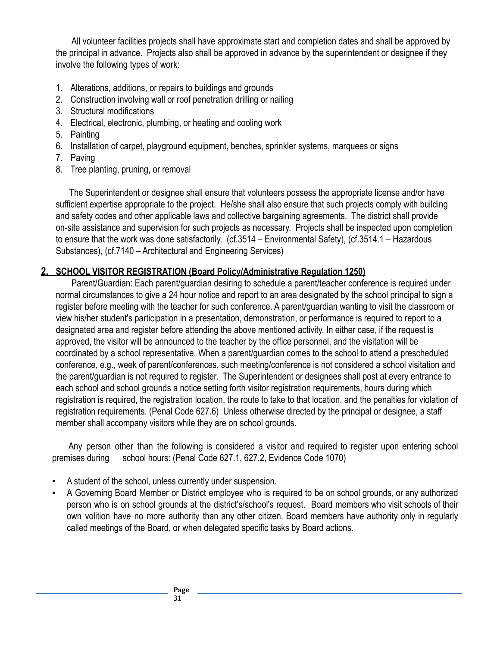All volunteer facilities projects shall have approximate start and completion dates and shall be approved by the principal in advance. Projects also shall be approved in advance by the superintendent or designee if they involve the following types of work:

- 1. Alterations, additions, or repairs to buildings and grounds
- 2. Construction involving wall or roof penetration drilling or nailing
- 3. Structural modifications
- 4. Electrical, electronic, plumbing, or heating and cooling work
- 5. Painting
- 6. Installation of carpet, playground equipment, benches, sprinkler systems, marquees or signs
- 7. Paving
- 8. Tree planting, pruning, or removal

The Superintendent or designee shall ensure that volunteers possess the appropriate license and/or have sufficient expertise appropriate to the project. He/she shall also ensure that such projects comply with building and safety codes and other applicable laws and collective bargaining agreements. The district shall provide on-site assistance and supervision for such projects as necessary. Projects shall be inspected upon completion to ensure that the work was done satisfactorily. (cf.3514 – Environmental Safety), (cf.3514.1 – Hazardous Substances), (cf.7140 – Architectural and Engineering Services)

#### <span id="page-30-0"></span>**2. SCHOOL VISITOR REGISTRATION (Board Policy/Administrative Regulation 1250)**

Parent/Guardian: Each parent/guardian desiring to schedule a parent/teacher conference is required under normal circumstances to give a 24 hour notice and report to an area designated by the school principal to sign a register before meeting with the teacher for such conference. A parent/guardian wanting to visit the classroom or view his/her student's participation in a presentation, demonstration, or performance is required to report to a designated area and register before attending the above mentioned activity. In either case, if the request is approved, the visitor will be announced to the teacher by the office personnel, and the visitation will be coordinated by a school representative. When a parent/guardian comes to the school to attend a prescheduled conference, e.g., week of parent/conferences, such meeting/conference is not considered a school visitation and the parent/guardian is not required to register. The Superintendent or designees shall post at every entrance to each school and school grounds a notice setting forth visitor registration requirements, hours during which registration is required, the registration location, the route to take to that location, and the penalties for violation of registration requirements. (Penal Code 627.6) Unless otherwise directed by the principal or designee, a staff member shall accompany visitors while they are on school grounds.

Any person other than the following is considered a visitor and required to register upon entering school premises during school hours: (Penal Code 627.1, 627.2, Evidence Code 1070)

- A student of the school, unless currently under suspension.
- A Governing Board Member or District employee who is required to be on school grounds, or any authorized person who is on school grounds at the district's/school's request. Board members who visit schools of their own volition have no more authority than any other citizen. Board members have authority only in regularly called meetings of the Board, or when delegated specific tasks by Board actions.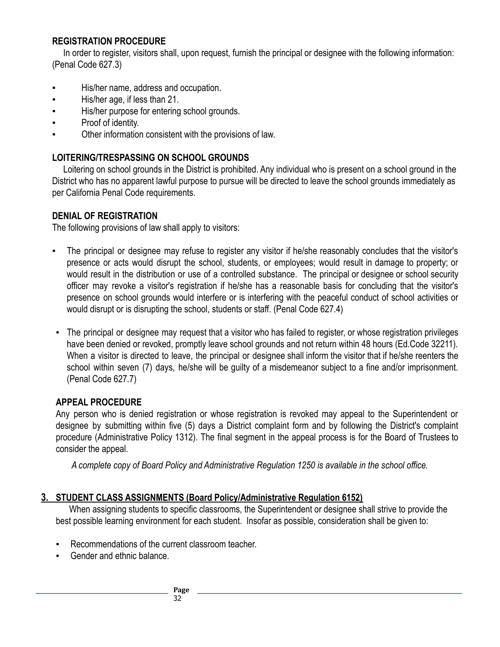#### **REGISTRATION PROCEDURE**

In order to register, visitors shall, upon request, furnish the principal or designee with the following information: (Penal Code 627.3)

- His/her name, address and occupation.
- His/her age, if less than 21.
- His/her purpose for entering school grounds.
- Proof of identity.
- Other information consistent with the provisions of law.

#### **LOITERING/TRESPASSING ON SCHOOL GROUNDS**

Loitering on school grounds in the District is prohibited. Any individual who is present on a school ground in the District who has no apparent lawful purpose to pursue will be directed to leave the school grounds immediately as per California Penal Code requirements.

#### **DENIAL OF REGISTRATION**

The following provisions of law shall apply to visitors:

- The principal or designee may refuse to register any visitor if he/she reasonably concludes that the visitor's presence or acts would disrupt the school, students, or employees; would result in damage to property; or would result in the distribution or use of a controlled substance. The principal or designee or school security officer may revoke a visitor's registration if he/she has a reasonable basis for concluding that the visitor's presence on school grounds would interfere or is interfering with the peaceful conduct of school activities or would disrupt or is disrupting the school, students or staff. (Penal Code 627.4)
- The principal or designee may request that a visitor who has failed to register, or whose registration privileges have been denied or revoked, promptly leave school grounds and not return within 48 hours (Ed.Code 32211). When a visitor is directed to leave, the principal or designee shall inform the visitor that if he/she reenters the school within seven (7) days, he/she will be guilty of a misdemeanor subject to a fine and/or imprisonment. (Penal Code 627.7)

#### **APPEAL PROCEDURE**

Any person who is denied registration or whose registration is revoked may appeal to the Superintendent or designee by submitting within five (5) days a District complaint form and by following the District's complaint procedure (Administrative Policy 1312). The final segment in the appeal process is for the Board of Trustees to consider the appeal.

*A complete copy of Board Policy and Administrative Regulation 1250 is available in the school office.*

#### **3. STUDENT CLASS ASSIGNMENTS (Board Policy/Administrative Regulation 6152)**

When assigning students to specific classrooms, the Superintendent or designee shall strive to provide the best possible learning environment for each student. Insofar as possible, consideration shall be given to:

- Recommendations of the current classroom teacher.
- Gender and ethnic balance.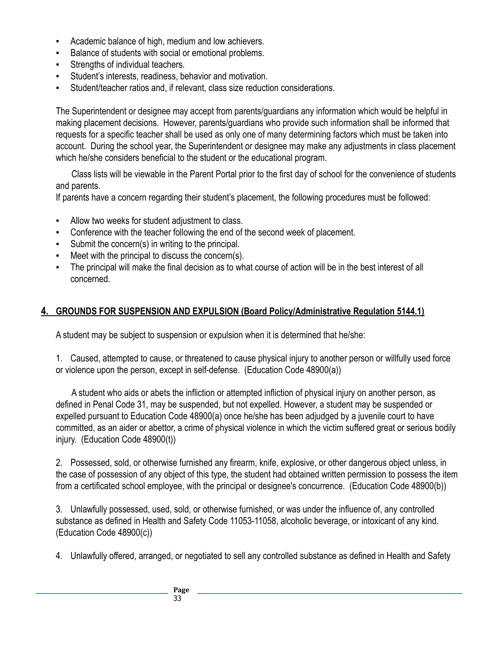- Academic balance of high, medium and low achievers.
- Balance of students with social or emotional problems.
- Strengths of individual teachers.
- Student's interests, readiness, behavior and motivation.
- Student/teacher ratios and, if relevant, class size reduction considerations.

The Superintendent or designee may accept from parents/guardians any information which would be helpful in making placement decisions. However, parents/guardians who provide such information shall be informed that requests for a specific teacher shall be used as only one of many determining factors which must be taken into account. During the school year, the Superintendent or designee may make any adjustments in class placement which he/she considers beneficial to the student or the educational program.

Class lists will be viewable in the Parent Portal prior to the first day of school for the convenience of students and parents.

If parents have a concern regarding their student's placement, the following procedures must be followed:

- Allow two weeks for student adjustment to class.
- Conference with the teacher following the end of the second week of placement.
- Submit the concern(s) in writing to the principal.
- Meet with the principal to discuss the concern(s).
- The principal will make the final decision as to what course of action will be in the best interest of all concerned.

#### **4. GROUNDS FOR SUSPENSION AND EXPULSION (Board Policy/Administrative Regulation 5144.1)**

A student may be subject to suspension or expulsion when it is determined that he/she:

1. Caused, attempted to cause, or threatened to cause physical injury to another person or willfully used force or violence upon the person, except in self-defense. (Education Code 48900(a))

A student who aids or abets the infliction or attempted infliction of physical injury on another person, as defined in Penal Code 31, may be suspended, but not expelled. However, a student may be suspended or expelled pursuant to Education Code 48900(a) once he/she has been adjudged by a juvenile court to have committed, as an aider or abettor, a crime of physical violence in which the victim suffered great or serious bodily injury. (Education Code 48900(t))

2. Possessed, sold, or otherwise furnished any firearm, knife, explosive, or other dangerous object unless, in the case of possession of any object of this type, the student had obtained written permission to possess the item from a certificated school employee, with the principal or designee's concurrence. (Education Code 48900(b))

3. Unlawfully possessed, used, sold, or otherwise furnished, or was under the influence of, any controlled substance as defined in Health and Safety Code 11053-11058, alcoholic beverage, or intoxicant of any kind. (Education Code 48900(c))

4. Unlawfully offered, arranged, or negotiated to sell any controlled substance as defined in Health and Safety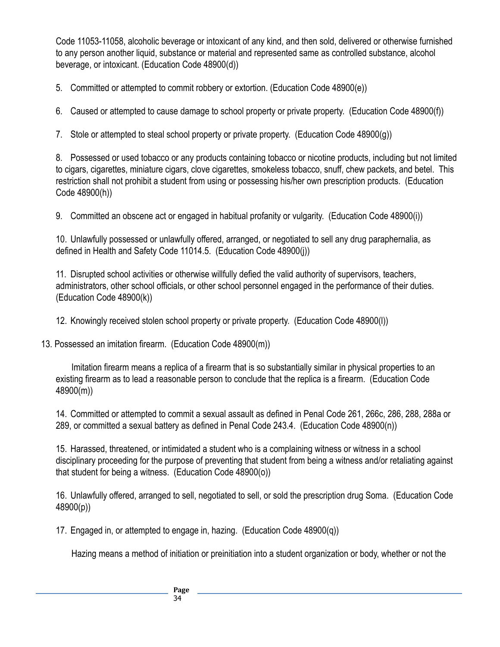Code 11053-11058, alcoholic beverage or intoxicant of any kind, and then sold, delivered or otherwise furnished to any person another liquid, substance or material and represented same as controlled substance, alcohol beverage, or intoxicant. (Education Code 48900(d))

5. Committed or attempted to commit robbery or extortion. (Education Code 48900(e))

6. Caused or attempted to cause damage to school property or private property. (Education Code 48900(f))

7. Stole or attempted to steal school property or private property. (Education Code 48900(g))

8. Possessed or used tobacco or any products containing tobacco or nicotine products, including but not limited to cigars, cigarettes, miniature cigars, clove cigarettes, smokeless tobacco, snuff, chew packets, and betel. This restriction shall not prohibit a student from using or possessing his/her own prescription products. (Education Code 48900(h))

9. Committed an obscene act or engaged in habitual profanity or vulgarity. (Education Code 48900(i))

10. Unlawfully possessed or unlawfully offered, arranged, or negotiated to sell any drug paraphernalia, as defined in Health and Safety Code 11014.5. (Education Code 48900(j))

11. Disrupted school activities or otherwise willfully defied the valid authority of supervisors, teachers, administrators, other school officials, or other school personnel engaged in the performance of their duties. (Education Code 48900(k))

12. Knowingly received stolen school property or private property. (Education Code 48900(l))

13. Possessed an imitation firearm. (Education Code 48900(m))

Imitation firearm means a replica of a firearm that is so substantially similar in physical properties to an existing firearm as to lead a reasonable person to conclude that the replica is a firearm. (Education Code 48900(m))

14. Committed or attempted to commit a sexual assault as defined in Penal Code 261, 266c, 286, 288, 288a or 289, or committed a sexual battery as defined in Penal Code 243.4. (Education Code 48900(n))

15. Harassed, threatened, or intimidated a student who is a complaining witness or witness in a school disciplinary proceeding for the purpose of preventing that student from being a witness and/or retaliating against that student for being a witness. (Education Code 48900(o))

16. Unlawfully offered, arranged to sell, negotiated to sell, or sold the prescription drug Soma. (Education Code 48900(p))

17. Engaged in, or attempted to engage in, hazing. (Education Code 48900(q))

Hazing means a method of initiation or preinitiation into a student organization or body, whether or not the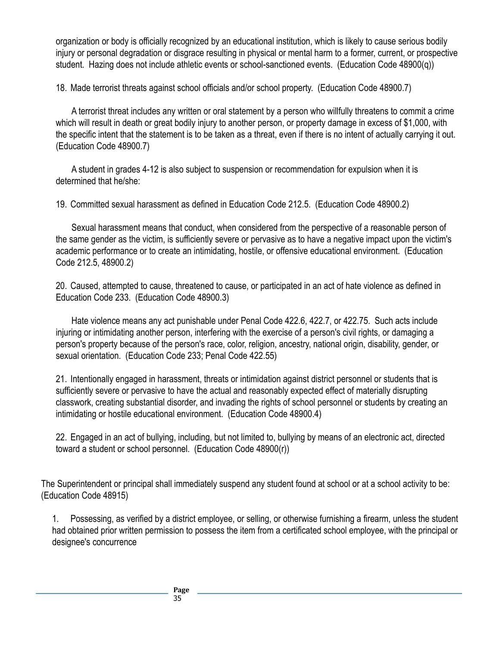organization or body is officially recognized by an educational institution, which is likely to cause serious bodily injury or personal degradation or disgrace resulting in physical or mental harm to a former, current, or prospective student. Hazing does not include athletic events or school-sanctioned events. (Education Code 48900(q))

18. Made terrorist threats against school officials and/or school property. (Education Code 48900.7)

A terrorist threat includes any written or oral statement by a person who willfully threatens to commit a crime which will result in death or great bodily injury to another person, or property damage in excess of \$1,000, with the specific intent that the statement is to be taken as a threat, even if there is no intent of actually carrying it out. (Education Code 48900.7)

A student in grades 4-12 is also subject to suspension or recommendation for expulsion when it is determined that he/she:

19. Committed sexual harassment as defined in Education Code 212.5. (Education Code 48900.2)

Sexual harassment means that conduct, when considered from the perspective of a reasonable person of the same gender as the victim, is sufficiently severe or pervasive as to have a negative impact upon the victim's academic performance or to create an intimidating, hostile, or offensive educational environment. (Education Code 212.5, 48900.2)

20. Caused, attempted to cause, threatened to cause, or participated in an act of hate violence as defined in Education Code 233. (Education Code 48900.3)

Hate violence means any act punishable under Penal Code 422.6, 422.7, or 422.75. Such acts include injuring or intimidating another person, interfering with the exercise of a person's civil rights, or damaging a person's property because of the person's race, color, religion, ancestry, national origin, disability, gender, or sexual orientation. (Education Code 233; Penal Code 422.55)

21. Intentionally engaged in harassment, threats or intimidation against district personnel or students that is sufficiently severe or pervasive to have the actual and reasonably expected effect of materially disrupting classwork, creating substantial disorder, and invading the rights of school personnel or students by creating an intimidating or hostile educational environment. (Education Code 48900.4)

22. Engaged in an act of bullying, including, but not limited to, bullying by means of an electronic act, directed toward a student or school personnel. (Education Code 48900(r))

The Superintendent or principal shall immediately suspend any student found at school or at a school activity to be: (Education Code 48915)

1. Possessing, as verified by a district employee, or selling, or otherwise furnishing a firearm, unless the student had obtained prior written permission to possess the item from a certificated school employee, with the principal or designee's concurrence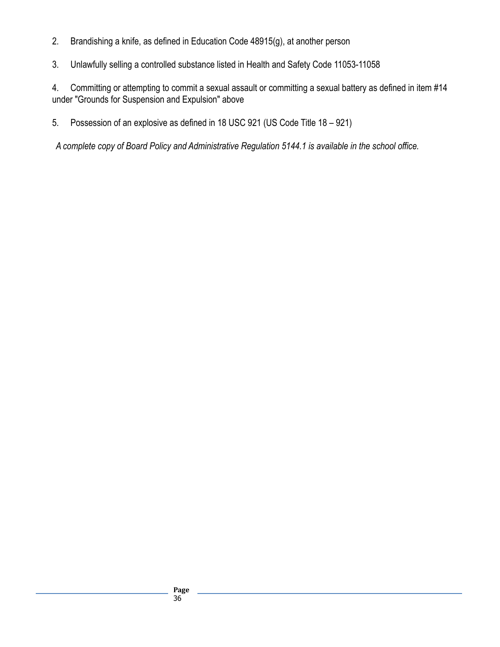- 2. Brandishing a knife, as defined in Education Code 48915(g), at another person
- 3. Unlawfully selling a controlled substance listed in Health and Safety Code 11053-11058

4. Committing or attempting to commit a sexual assault or committing a sexual battery as defined in item #14 under "Grounds for Suspension and Expulsion" above

5. Possession of an explosive as defined in 18 USC 921 (US Code Title 18 – 921)

*A complete copy of Board Policy and Administrative Regulation 5144.1 is available in the school office.*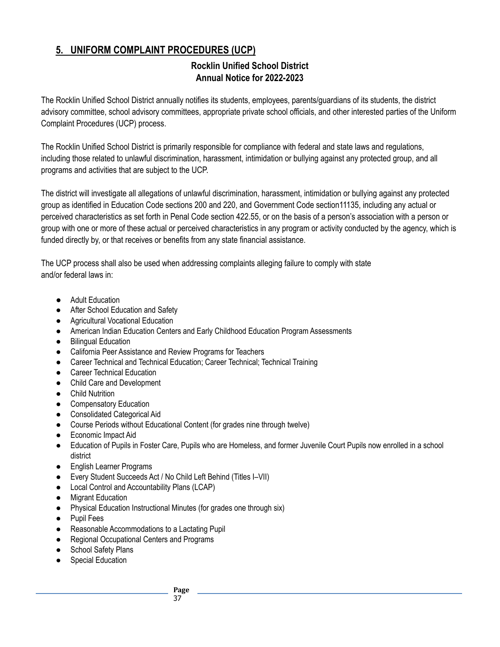# **5. UNIFORM COMPLAINT PROCEDURES (UCP)**

#### **Rocklin Unified School District Annual Notice for 2022-2023**

The Rocklin Unified School District annually notifies its students, employees, parents/guardians of its students, the district advisory committee, school advisory committees, appropriate private school officials, and other interested parties of the Uniform Complaint Procedures (UCP) process.

The Rocklin Unified School District is primarily responsible for compliance with federal and state laws and regulations, including those related to unlawful discrimination, harassment, intimidation or bullying against any protected group, and all programs and activities that are subject to the UCP.

The district will investigate all allegations of unlawful discrimination, harassment, intimidation or bullying against any protected group as identified in Education Code sections 200 and 220, and Government Code section11135, including any actual or perceived characteristics as set forth in Penal Code section 422.55, or on the basis of a person's association with a person or group with one or more of these actual or perceived characteristics in any program or activity conducted by the agency, which is funded directly by, or that receives or benefits from any state financial assistance.

The UCP process shall also be used when addressing complaints alleging failure to comply with state and/or federal laws in:

- Adult Education
- After School Education and Safety
- Agricultural Vocational Education
- American Indian Education Centers and Early Childhood Education Program Assessments
- Bilingual Education
- California Peer Assistance and Review Programs for Teachers
- Career Technical and Technical Education; Career Technical; Technical Training
- **Career Technical Education**
- Child Care and Development
- Child Nutrition
- **•** Compensatory Education
- Consolidated Categorical Aid
- Course Periods without Educational Content (for grades nine through twelve)
- Economic Impact Aid
- Education of Pupils in Foster Care, Pupils who are Homeless, and former Juvenile Court Pupils now enrolled in a school district
- **English Learner Programs**
- Every Student Succeeds Act / No Child Left Behind (Titles I–VII)
- Local Control and Accountability Plans (LCAP)
- **Migrant Education**
- Physical Education Instructional Minutes (for grades one through six)
- Pupil Fees
- Reasonable Accommodations to a Lactating Pupil
- Regional Occupational Centers and Programs
- School Safety Plans
- Special Education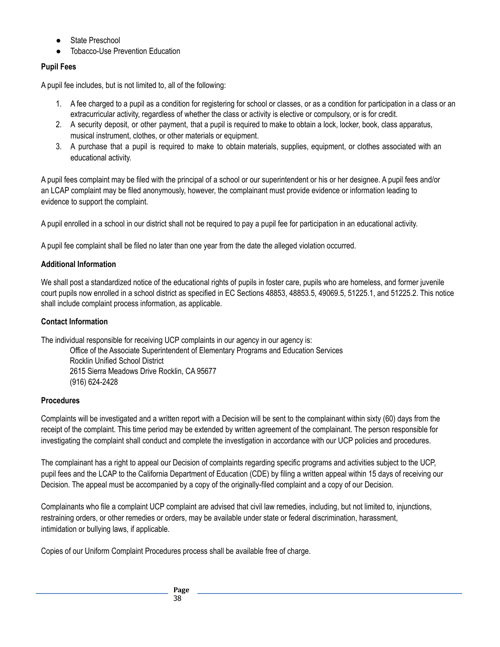- **State Preschool**
- **Tobacco-Use Prevention Education**

#### **Pupil Fees**

A pupil fee includes, but is not limited to, all of the following:

- 1. A fee charged to a pupil as a condition for registering for school or classes, or as a condition for participation in a class or an extracurricular activity, regardless of whether the class or activity is elective or compulsory, or is for credit.
- 2. A security deposit, or other payment, that a pupil is required to make to obtain a lock, locker, book, class apparatus, musical instrument, clothes, or other materials or equipment.
- 3. A purchase that a pupil is required to make to obtain materials, supplies, equipment, or clothes associated with an educational activity.

A pupil fees complaint may be filed with the principal of a school or our superintendent or his or her designee. A pupil fees and/or an LCAP complaint may be filed anonymously, however, the complainant must provide evidence or information leading to evidence to support the complaint.

A pupil enrolled in a school in our district shall not be required to pay a pupil fee for participation in an educational activity.

A pupil fee complaint shall be filed no later than one year from the date the alleged violation occurred.

#### **Additional Information**

We shall post a standardized notice of the educational rights of pupils in foster care, pupils who are homeless, and former juvenile court pupils now enrolled in a school district as specified in EC Sections 48853, 48853.5, 49069.5, 51225.1, and 51225.2. This notice shall include complaint process information, as applicable.

#### **Contact Information**

The individual responsible for receiving UCP complaints in our agency in our agency is:

Office of the Associate Superintendent of Elementary Programs and Education Services Rocklin Unified School District 2615 Sierra Meadows Drive Rocklin, CA 95677 (916) 624-2428

#### **Procedures**

Complaints will be investigated and a written report with a Decision will be sent to the complainant within sixty (60) days from the receipt of the complaint. This time period may be extended by written agreement of the complainant. The person responsible for investigating the complaint shall conduct and complete the investigation in accordance with our UCP policies and procedures.

The complainant has a right to appeal our Decision of complaints regarding specific programs and activities subject to the UCP, pupil fees and the LCAP to the California Department of Education (CDE) by filing a written appeal within 15 days of receiving our Decision. The appeal must be accompanied by a copy of the originally-filed complaint and a copy of our Decision.

Complainants who file a complaint UCP complaint are advised that civil law remedies, including, but not limited to, injunctions, restraining orders, or other remedies or orders, may be available under state or federal discrimination, harassment, intimidation or bullying laws, if applicable.

Copies of our Uniform Complaint Procedures process shall be available free of charge.